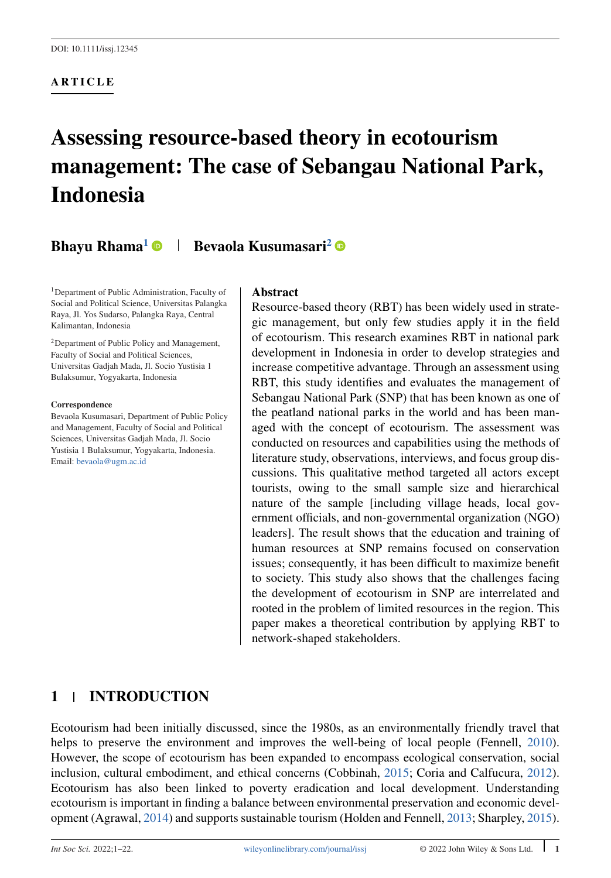### **ARTICLE**

# **Assessing resource-based theory in ecotourism management: The case of Sebangau National Park, Indonesia**

# **Bhayu Rhama<sup>1</sup> • Bevaola Kusumasari<sup>2</sup>**

<sup>1</sup>Department of Public Administration, Faculty of Social and Political Science, Universitas Palangka Raya, Jl. Yos Sudarso, Palangka Raya, Central Kalimantan, Indonesia

2Department of Public Policy and Management, Faculty of Social and Political Sciences, Universitas Gadjah Mada, Jl. Socio Yustisia 1 Bulaksumur, Yogyakarta, Indonesia

#### **Correspondence**

Bevaola Kusumasari, Department of Public Policy and Management, Faculty of Social and Political Sciences, Universitas Gadjah Mada, Jl. Socio Yustisia 1 Bulaksumur, Yogyakarta, Indonesia. Email: [bevaola@ugm.ac.id](mailto:bevaola@ugm.ac.id)

#### **Abstract**

Resource-based theory (RBT) has been widely used in strategic management, but only few studies apply it in the field of ecotourism. This research examines RBT in national park development in Indonesia in order to develop strategies and increase competitive advantage. Through an assessment using RBT, this study identifies and evaluates the management of Sebangau National Park (SNP) that has been known as one of the peatland national parks in the world and has been managed with the concept of ecotourism. The assessment was conducted on resources and capabilities using the methods of literature study, observations, interviews, and focus group discussions. This qualitative method targeted all actors except tourists, owing to the small sample size and hierarchical nature of the sample [including village heads, local government officials, and non-governmental organization (NGO) leaders]. The result shows that the education and training of human resources at SNP remains focused on conservation issues; consequently, it has been difficult to maximize benefit to society. This study also shows that the challenges facing the development of ecotourism in SNP are interrelated and rooted in the problem of limited resources in the region. This paper makes a theoretical contribution by applying RBT to network-shaped stakeholders.

# **1 INTRODUCTION**

Ecotourism had been initially discussed, since the 1980s, as an environmentally friendly travel that helps to preserve the environment and improves the well-being of local people (Fennell, [2010\)](#page-18-0). However, the scope of ecotourism has been expanded to encompass ecological conservation, social inclusion, cultural embodiment, and ethical concerns (Cobbinah, [2015;](#page-18-0) Coria and Calfucura, [2012\)](#page-18-0). Ecotourism has also been linked to poverty eradication and local development. Understanding ecotourism is important in finding a balance between environmental preservation and economic development (Agrawal, [2014\)](#page-17-0) and supports sustainable tourism (Holden and Fennell, [2013;](#page-18-0) Sharpley, [2015\)](#page-20-0).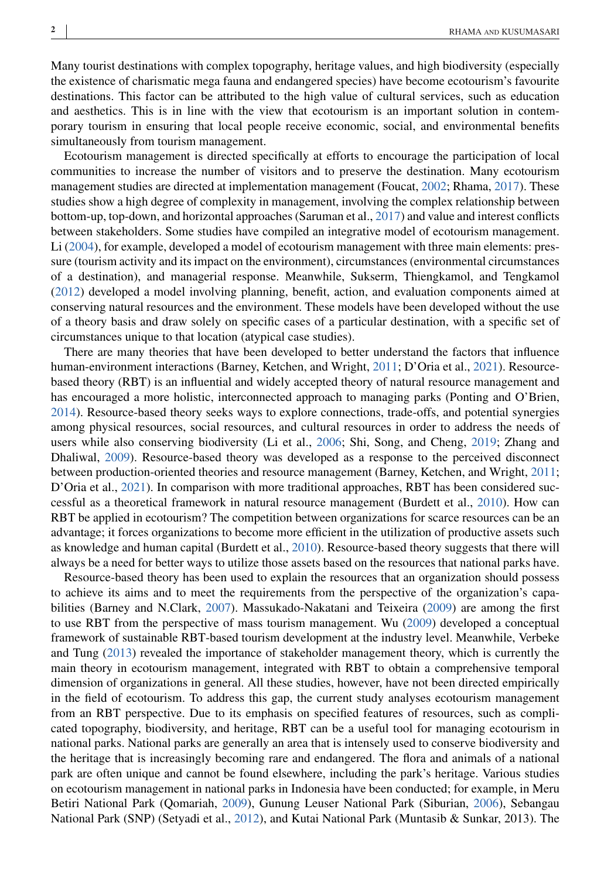Many tourist destinations with complex topography, heritage values, and high biodiversity (especially the existence of charismatic mega fauna and endangered species) have become ecotourism's favourite destinations. This factor can be attributed to the high value of cultural services, such as education and aesthetics. This is in line with the view that ecotourism is an important solution in contemporary tourism in ensuring that local people receive economic, social, and environmental benefits simultaneously from tourism management.

Ecotourism management is directed specifically at efforts to encourage the participation of local communities to increase the number of visitors and to preserve the destination. Many ecotourism management studies are directed at implementation management (Foucat, [2002;](#page-18-0) Rhama, [2017\)](#page-19-0). These studies show a high degree of complexity in management, involving the complex relationship between bottom-up, top-down, and horizontal approaches (Saruman et al., [2017\)](#page-19-0) and value and interest conflicts between stakeholders. Some studies have compiled an integrative model of ecotourism management. Li [\(2004\)](#page-19-0), for example, developed a model of ecotourism management with three main elements: pressure (tourism activity and its impact on the environment), circumstances (environmental circumstances of a destination), and managerial response. Meanwhile, Sukserm, Thiengkamol, and Tengkamol [\(2012\)](#page-20-0) developed a model involving planning, benefit, action, and evaluation components aimed at conserving natural resources and the environment. These models have been developed without the use of a theory basis and draw solely on specific cases of a particular destination, with a specific set of circumstances unique to that location (atypical case studies).

There are many theories that have been developed to better understand the factors that influence human-environment interactions (Barney, Ketchen, and Wright, [2011;](#page-18-0) D'Oria et al., [2021\)](#page-18-0). Resourcebased theory (RBT) is an influential and widely accepted theory of natural resource management and has encouraged a more holistic, interconnected approach to managing parks (Ponting and O'Brien, [2014\)](#page-19-0). Resource-based theory seeks ways to explore connections, trade-offs, and potential synergies among physical resources, social resources, and cultural resources in order to address the needs of users while also conserving biodiversity (Li et al., [2006;](#page-19-0) Shi, Song, and Cheng, [2019;](#page-20-0) Zhang and Dhaliwal, [2009\)](#page-20-0). Resource-based theory was developed as a response to the perceived disconnect between production-oriented theories and resource management (Barney, Ketchen, and Wright, [2011;](#page-18-0) D'Oria et al., [2021\)](#page-18-0). In comparison with more traditional approaches, RBT has been considered successful as a theoretical framework in natural resource management (Burdett et al., [2010\)](#page-18-0). How can RBT be applied in ecotourism? The competition between organizations for scarce resources can be an advantage; it forces organizations to become more efficient in the utilization of productive assets such as knowledge and human capital (Burdett et al., [2010\)](#page-18-0). Resource-based theory suggests that there will always be a need for better ways to utilize those assets based on the resources that national parks have.

Resource-based theory has been used to explain the resources that an organization should possess to achieve its aims and to meet the requirements from the perspective of the organization's capabilities (Barney and N.Clark, [2007\)](#page-18-0). Massukado-Nakatani and Teixeira [\(2009\)](#page-19-0) are among the first to use RBT from the perspective of mass tourism management. Wu [\(2009\)](#page-20-0) developed a conceptual framework of sustainable RBT-based tourism development at the industry level. Meanwhile, Verbeke and Tung [\(2013\)](#page-20-0) revealed the importance of stakeholder management theory, which is currently the main theory in ecotourism management, integrated with RBT to obtain a comprehensive temporal dimension of organizations in general. All these studies, however, have not been directed empirically in the field of ecotourism. To address this gap, the current study analyses ecotourism management from an RBT perspective. Due to its emphasis on specified features of resources, such as complicated topography, biodiversity, and heritage, RBT can be a useful tool for managing ecotourism in national parks. National parks are generally an area that is intensely used to conserve biodiversity and the heritage that is increasingly becoming rare and endangered. The flora and animals of a national park are often unique and cannot be found elsewhere, including the park's heritage. Various studies on ecotourism management in national parks in Indonesia have been conducted; for example, in Meru Betiri National Park (Qomariah, [2009\)](#page-19-0), Gunung Leuser National Park (Siburian, [2006\)](#page-20-0), Sebangau National Park (SNP) (Setyadi et al., [2012\)](#page-19-0), and Kutai National Park (Muntasib & Sunkar, 2013). The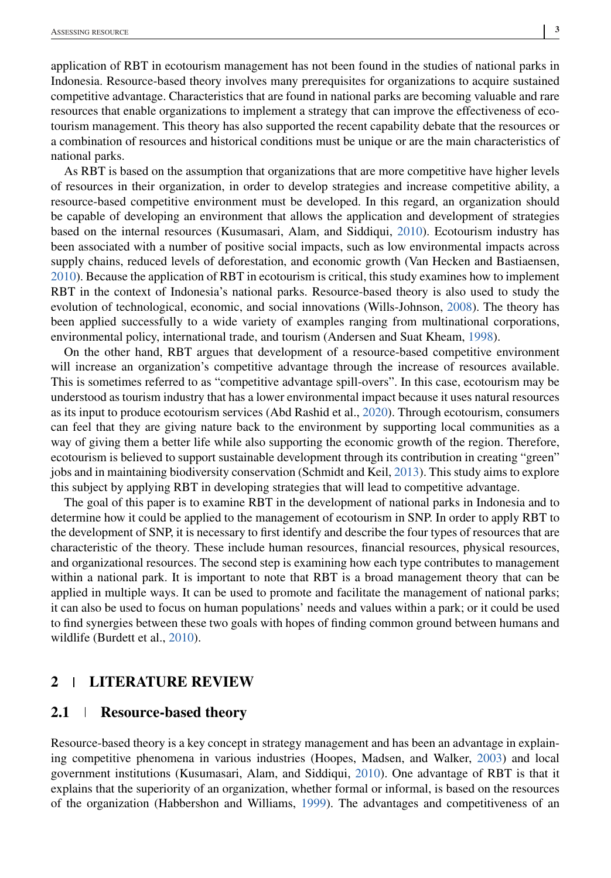application of RBT in ecotourism management has not been found in the studies of national parks in Indonesia. Resource-based theory involves many prerequisites for organizations to acquire sustained competitive advantage. Characteristics that are found in national parks are becoming valuable and rare resources that enable organizations to implement a strategy that can improve the effectiveness of ecotourism management. This theory has also supported the recent capability debate that the resources or a combination of resources and historical conditions must be unique or are the main characteristics of national parks.

As RBT is based on the assumption that organizations that are more competitive have higher levels of resources in their organization, in order to develop strategies and increase competitive ability, a resource-based competitive environment must be developed. In this regard, an organization should be capable of developing an environment that allows the application and development of strategies based on the internal resources (Kusumasari, Alam, and Siddiqui, [2010\)](#page-19-0). Ecotourism industry has been associated with a number of positive social impacts, such as low environmental impacts across supply chains, reduced levels of deforestation, and economic growth (Van Hecken and Bastiaensen, [2010\)](#page-20-0). Because the application of RBT in ecotourism is critical, this study examines how to implement RBT in the context of Indonesia's national parks. Resource-based theory is also used to study the evolution of technological, economic, and social innovations (Wills-Johnson, [2008\)](#page-20-0). The theory has been applied successfully to a wide variety of examples ranging from multinational corporations, environmental policy, international trade, and tourism (Andersen and Suat Kheam, [1998\)](#page-17-0).

On the other hand, RBT argues that development of a resource-based competitive environment will increase an organization's competitive advantage through the increase of resources available. This is sometimes referred to as "competitive advantage spill-overs". In this case, ecotourism may be understood as tourism industry that has a lower environmental impact because it uses natural resources as its input to produce ecotourism services (Abd Rashid et al., [2020\)](#page-17-0). Through ecotourism, consumers can feel that they are giving nature back to the environment by supporting local communities as a way of giving them a better life while also supporting the economic growth of the region. Therefore, ecotourism is believed to support sustainable development through its contribution in creating "green" jobs and in maintaining biodiversity conservation (Schmidt and Keil, [2013\)](#page-19-0). This study aims to explore this subject by applying RBT in developing strategies that will lead to competitive advantage.

The goal of this paper is to examine RBT in the development of national parks in Indonesia and to determine how it could be applied to the management of ecotourism in SNP. In order to apply RBT to the development of SNP, it is necessary to first identify and describe the four types of resources that are characteristic of the theory. These include human resources, financial resources, physical resources, and organizational resources. The second step is examining how each type contributes to management within a national park. It is important to note that RBT is a broad management theory that can be applied in multiple ways. It can be used to promote and facilitate the management of national parks; it can also be used to focus on human populations' needs and values within a park; or it could be used to find synergies between these two goals with hopes of finding common ground between humans and wildlife (Burdett et al., [2010\)](#page-18-0).

#### **2 LITERATURE REVIEW**

#### **2.1 Resource-based theory**

Resource-based theory is a key concept in strategy management and has been an advantage in explaining competitive phenomena in various industries (Hoopes, Madsen, and Walker, [2003\)](#page-18-0) and local government institutions (Kusumasari, Alam, and Siddiqui, [2010\)](#page-19-0). One advantage of RBT is that it explains that the superiority of an organization, whether formal or informal, is based on the resources of the organization (Habbershon and Williams, [1999\)](#page-18-0). The advantages and competitiveness of an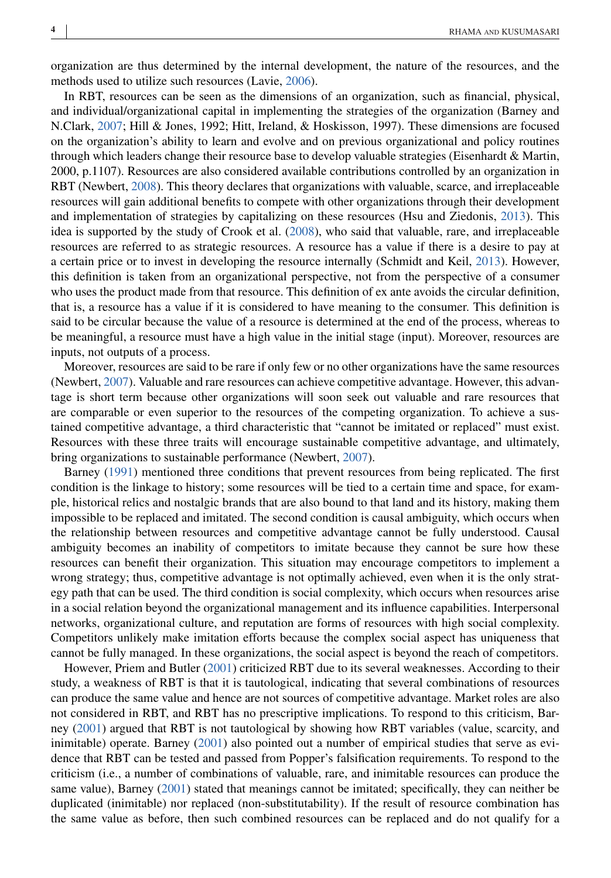organization are thus determined by the internal development, the nature of the resources, and the methods used to utilize such resources (Lavie, [2006\)](#page-19-0).

In RBT, resources can be seen as the dimensions of an organization, such as financial, physical, and individual/organizational capital in implementing the strategies of the organization (Barney and N.Clark, [2007;](#page-18-0) Hill & Jones, 1992; Hitt, Ireland, & Hoskisson, 1997). These dimensions are focused on the organization's ability to learn and evolve and on previous organizational and policy routines through which leaders change their resource base to develop valuable strategies (Eisenhardt & Martin, 2000, p.1107). Resources are also considered available contributions controlled by an organization in RBT (Newbert, [2008\)](#page-19-0). This theory declares that organizations with valuable, scarce, and irreplaceable resources will gain additional benefits to compete with other organizations through their development and implementation of strategies by capitalizing on these resources (Hsu and Ziedonis, [2013\)](#page-19-0). This idea is supported by the study of Crook et al. [\(2008\)](#page-18-0), who said that valuable, rare, and irreplaceable resources are referred to as strategic resources. A resource has a value if there is a desire to pay at a certain price or to invest in developing the resource internally (Schmidt and Keil, [2013\)](#page-19-0). However, this definition is taken from an organizational perspective, not from the perspective of a consumer who uses the product made from that resource. This definition of ex ante avoids the circular definition, that is, a resource has a value if it is considered to have meaning to the consumer. This definition is said to be circular because the value of a resource is determined at the end of the process, whereas to be meaningful, a resource must have a high value in the initial stage (input). Moreover, resources are inputs, not outputs of a process.

Moreover, resources are said to be rare if only few or no other organizations have the same resources (Newbert, [2007\)](#page-19-0). Valuable and rare resources can achieve competitive advantage. However, this advantage is short term because other organizations will soon seek out valuable and rare resources that are comparable or even superior to the resources of the competing organization. To achieve a sustained competitive advantage, a third characteristic that "cannot be imitated or replaced" must exist. Resources with these three traits will encourage sustainable competitive advantage, and ultimately, bring organizations to sustainable performance (Newbert, [2007\)](#page-19-0).

Barney [\(1991\)](#page-17-0) mentioned three conditions that prevent resources from being replicated. The first condition is the linkage to history; some resources will be tied to a certain time and space, for example, historical relics and nostalgic brands that are also bound to that land and its history, making them impossible to be replaced and imitated. The second condition is causal ambiguity, which occurs when the relationship between resources and competitive advantage cannot be fully understood. Causal ambiguity becomes an inability of competitors to imitate because they cannot be sure how these resources can benefit their organization. This situation may encourage competitors to implement a wrong strategy; thus, competitive advantage is not optimally achieved, even when it is the only strategy path that can be used. The third condition is social complexity, which occurs when resources arise in a social relation beyond the organizational management and its influence capabilities. Interpersonal networks, organizational culture, and reputation are forms of resources with high social complexity. Competitors unlikely make imitation efforts because the complex social aspect has uniqueness that cannot be fully managed. In these organizations, the social aspect is beyond the reach of competitors.

However, Priem and Butler [\(2001\)](#page-19-0) criticized RBT due to its several weaknesses. According to their study, a weakness of RBT is that it is tautological, indicating that several combinations of resources can produce the same value and hence are not sources of competitive advantage. Market roles are also not considered in RBT, and RBT has no prescriptive implications. To respond to this criticism, Barney [\(2001\)](#page-18-0) argued that RBT is not tautological by showing how RBT variables (value, scarcity, and inimitable) operate. Barney [\(2001\)](#page-18-0) also pointed out a number of empirical studies that serve as evidence that RBT can be tested and passed from Popper's falsification requirements. To respond to the criticism (i.e., a number of combinations of valuable, rare, and inimitable resources can produce the same value), Barney [\(2001\)](#page-18-0) stated that meanings cannot be imitated; specifically, they can neither be duplicated (inimitable) nor replaced (non-substitutability). If the result of resource combination has the same value as before, then such combined resources can be replaced and do not qualify for a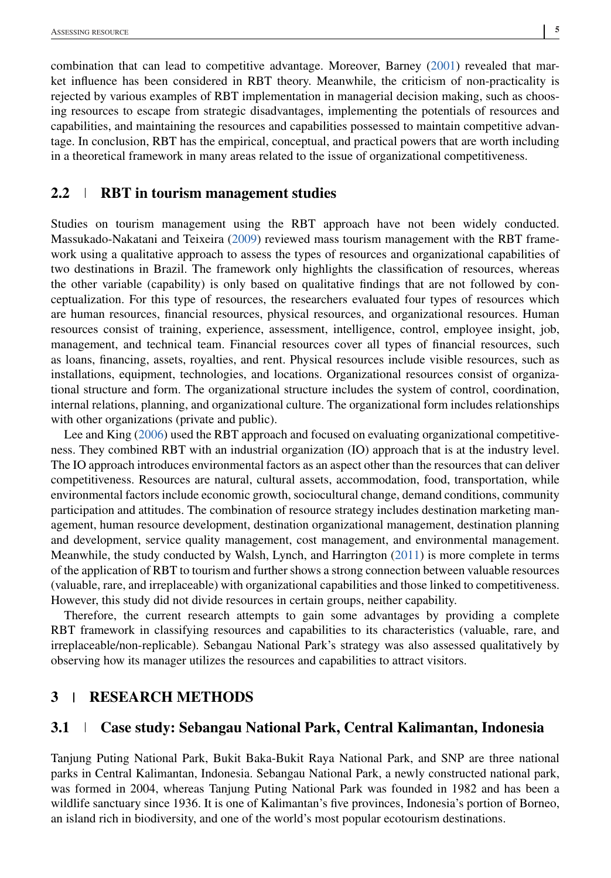combination that can lead to competitive advantage. Moreover, Barney [\(2001\)](#page-18-0) revealed that market influence has been considered in RBT theory. Meanwhile, the criticism of non-practicality is rejected by various examples of RBT implementation in managerial decision making, such as choosing resources to escape from strategic disadvantages, implementing the potentials of resources and capabilities, and maintaining the resources and capabilities possessed to maintain competitive advantage. In conclusion, RBT has the empirical, conceptual, and practical powers that are worth including in a theoretical framework in many areas related to the issue of organizational competitiveness.

# **2.2 RBT in tourism management studies**

Studies on tourism management using the RBT approach have not been widely conducted. Massukado-Nakatani and Teixeira [\(2009\)](#page-19-0) reviewed mass tourism management with the RBT framework using a qualitative approach to assess the types of resources and organizational capabilities of two destinations in Brazil. The framework only highlights the classification of resources, whereas the other variable (capability) is only based on qualitative findings that are not followed by conceptualization. For this type of resources, the researchers evaluated four types of resources which are human resources, financial resources, physical resources, and organizational resources. Human resources consist of training, experience, assessment, intelligence, control, employee insight, job, management, and technical team. Financial resources cover all types of financial resources, such as loans, financing, assets, royalties, and rent. Physical resources include visible resources, such as installations, equipment, technologies, and locations. Organizational resources consist of organizational structure and form. The organizational structure includes the system of control, coordination, internal relations, planning, and organizational culture. The organizational form includes relationships with other organizations (private and public).

Lee and King [\(2006\)](#page-19-0) used the RBT approach and focused on evaluating organizational competitiveness. They combined RBT with an industrial organization (IO) approach that is at the industry level. The IO approach introduces environmental factors as an aspect other than the resources that can deliver competitiveness. Resources are natural, cultural assets, accommodation, food, transportation, while environmental factors include economic growth, sociocultural change, demand conditions, community participation and attitudes. The combination of resource strategy includes destination marketing management, human resource development, destination organizational management, destination planning and development, service quality management, cost management, and environmental management. Meanwhile, the study conducted by Walsh, Lynch, and Harrington [\(2011\)](#page-20-0) is more complete in terms of the application of RBT to tourism and further shows a strong connection between valuable resources (valuable, rare, and irreplaceable) with organizational capabilities and those linked to competitiveness. However, this study did not divide resources in certain groups, neither capability.

Therefore, the current research attempts to gain some advantages by providing a complete RBT framework in classifying resources and capabilities to its characteristics (valuable, rare, and irreplaceable/non-replicable). Sebangau National Park's strategy was also assessed qualitatively by observing how its manager utilizes the resources and capabilities to attract visitors.

### **3 RESEARCH METHODS**

# **3.1 Case study: Sebangau National Park, Central Kalimantan, Indonesia**

Tanjung Puting National Park, Bukit Baka-Bukit Raya National Park, and SNP are three national parks in Central Kalimantan, Indonesia. Sebangau National Park, a newly constructed national park, was formed in 2004, whereas Tanjung Puting National Park was founded in 1982 and has been a wildlife sanctuary since 1936. It is one of Kalimantan's five provinces, Indonesia's portion of Borneo, an island rich in biodiversity, and one of the world's most popular ecotourism destinations.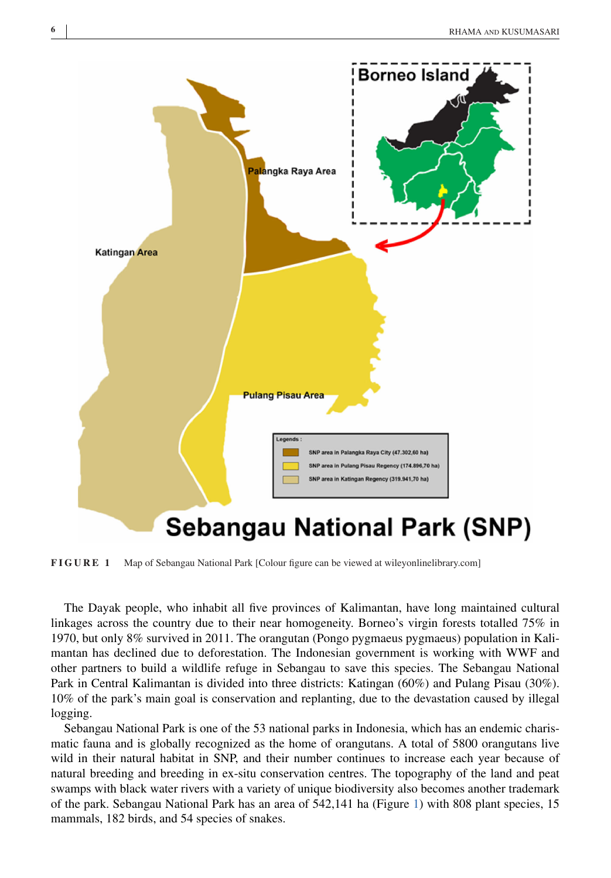

**FIGURE 1** Map of Sebangau National Park [Colour figure can be viewed at wileyonlinelibrary.com]

The Dayak people, who inhabit all five provinces of Kalimantan, have long maintained cultural linkages across the country due to their near homogeneity. Borneo's virgin forests totalled 75% in 1970, but only 8% survived in 2011. The orangutan (Pongo pygmaeus pygmaeus) population in Kalimantan has declined due to deforestation. The Indonesian government is working with WWF and other partners to build a wildlife refuge in Sebangau to save this species. The Sebangau National Park in Central Kalimantan is divided into three districts: Katingan (60%) and Pulang Pisau (30%). 10% of the park's main goal is conservation and replanting, due to the devastation caused by illegal logging.

Sebangau National Park is one of the 53 national parks in Indonesia, which has an endemic charismatic fauna and is globally recognized as the home of orangutans. A total of 5800 orangutans live wild in their natural habitat in SNP, and their number continues to increase each year because of natural breeding and breeding in ex-situ conservation centres. The topography of the land and peat swamps with black water rivers with a variety of unique biodiversity also becomes another trademark of the park. Sebangau National Park has an area of 542,141 ha (Figure 1) with 808 plant species, 15 mammals, 182 birds, and 54 species of snakes.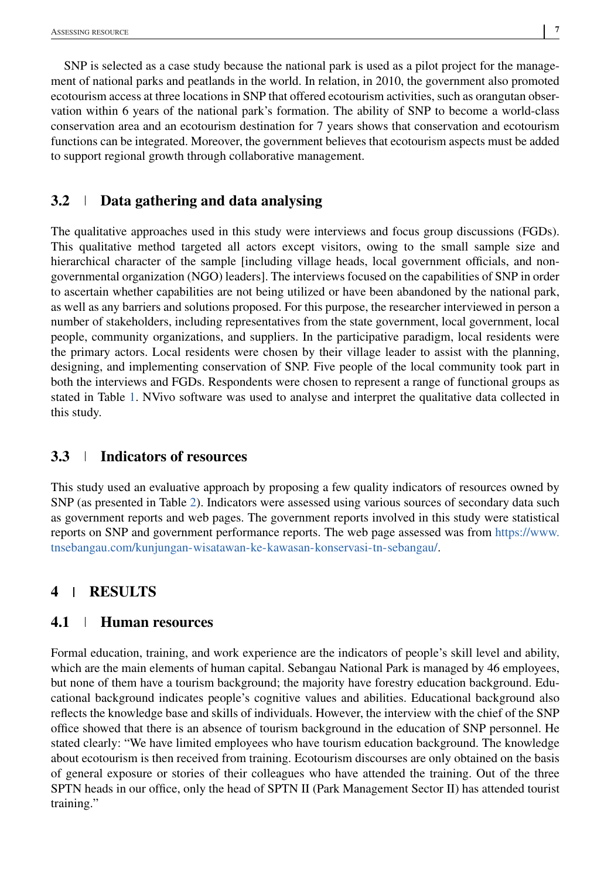SNP is selected as a case study because the national park is used as a pilot project for the management of national parks and peatlands in the world. In relation, in 2010, the government also promoted ecotourism access at three locations in SNP that offered ecotourism activities, such as orangutan observation within 6 years of the national park's formation. The ability of SNP to become a world-class conservation area and an ecotourism destination for 7 years shows that conservation and ecotourism functions can be integrated. Moreover, the government believes that ecotourism aspects must be added to support regional growth through collaborative management.

# **3.2 Data gathering and data analysing**

The qualitative approaches used in this study were interviews and focus group discussions (FGDs). This qualitative method targeted all actors except visitors, owing to the small sample size and hierarchical character of the sample [including village heads, local government officials, and nongovernmental organization (NGO) leaders]. The interviews focused on the capabilities of SNP in order to ascertain whether capabilities are not being utilized or have been abandoned by the national park, as well as any barriers and solutions proposed. For this purpose, the researcher interviewed in person a number of stakeholders, including representatives from the state government, local government, local people, community organizations, and suppliers. In the participative paradigm, local residents were the primary actors. Local residents were chosen by their village leader to assist with the planning, designing, and implementing conservation of SNP. Five people of the local community took part in both the interviews and FGDs. Respondents were chosen to represent a range of functional groups as stated in Table [1.](#page-7-0) NVivo software was used to analyse and interpret the qualitative data collected in this study.

# **3.3 Indicators of resources**

This study used an evaluative approach by proposing a few quality indicators of resources owned by SNP (as presented in Table [2\)](#page-8-0). Indicators were assessed using various sources of secondary data such as government reports and web pages. The government reports involved in this study were statistical reports on SNP and government performance reports. The web page assessed was from [https://www.](https://www.tnsebangau.com/kunjungan-wisatawan-ke-kawasan-konservasi-tn-sebangau/) [tnsebangau.com/kunjungan-wisatawan-ke-kawasan-konservasi-tn-sebangau/.](https://www.tnsebangau.com/kunjungan-wisatawan-ke-kawasan-konservasi-tn-sebangau/)

# **4 RESULTS**

# **4.1 Human resources**

Formal education, training, and work experience are the indicators of people's skill level and ability, which are the main elements of human capital. Sebangau National Park is managed by 46 employees, but none of them have a tourism background; the majority have forestry education background. Educational background indicates people's cognitive values and abilities. Educational background also reflects the knowledge base and skills of individuals. However, the interview with the chief of the SNP office showed that there is an absence of tourism background in the education of SNP personnel. He stated clearly: "We have limited employees who have tourism education background. The knowledge about ecotourism is then received from training. Ecotourism discourses are only obtained on the basis of general exposure or stories of their colleagues who have attended the training. Out of the three SPTN heads in our office, only the head of SPTN II (Park Management Sector II) has attended tourist training."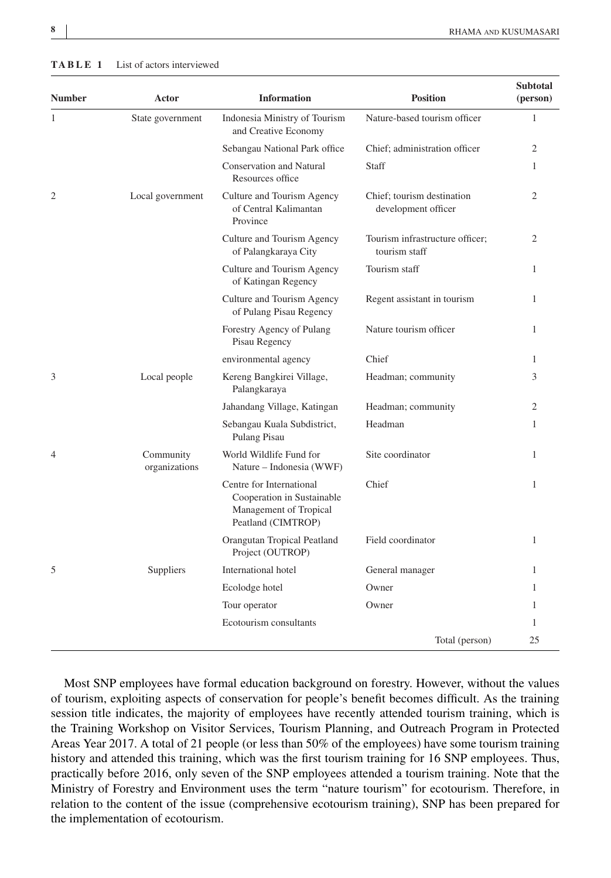| Number         | Actor                      | <b>Information</b>                                                                                     | <b>Position</b>                                   | <b>Subtotal</b><br>(person) |
|----------------|----------------------------|--------------------------------------------------------------------------------------------------------|---------------------------------------------------|-----------------------------|
| 1              | State government           | Indonesia Ministry of Tourism<br>and Creative Economy                                                  | Nature-based tourism officer                      | $\mathbf{1}$                |
|                |                            | Sebangau National Park office                                                                          | Chief; administration officer                     | $\overline{2}$              |
|                |                            | <b>Conservation and Natural</b><br>Resources office                                                    | Staff                                             | 1                           |
| 2              | Local government           | Culture and Tourism Agency<br>of Central Kalimantan<br>Province                                        | Chief; tourism destination<br>development officer | $\mathfrak{2}$              |
|                |                            | Culture and Tourism Agency<br>of Palangkaraya City                                                     | Tourism infrastructure officer;<br>tourism staff  | 2                           |
|                |                            | Culture and Tourism Agency<br>of Katingan Regency                                                      | Tourism staff                                     | 1                           |
|                |                            | Culture and Tourism Agency<br>of Pulang Pisau Regency                                                  | Regent assistant in tourism                       | 1                           |
|                |                            | Forestry Agency of Pulang<br>Pisau Regency                                                             | Nature tourism officer                            | 1                           |
|                |                            | environmental agency                                                                                   | Chief                                             | $\mathbf{1}$                |
| 3              | Local people               | Kereng Bangkirei Village,<br>Palangkaraya                                                              | Headman; community                                | 3                           |
|                |                            | Jahandang Village, Katingan                                                                            | Headman; community                                | $\overline{2}$              |
|                |                            | Sebangau Kuala Subdistrict,<br>Pulang Pisau                                                            | Headman                                           | 1                           |
| $\overline{4}$ | Community<br>organizations | World Wildlife Fund for<br>Nature – Indonesia (WWF)                                                    | Site coordinator                                  | 1                           |
|                |                            | Centre for International<br>Cooperation in Sustainable<br>Management of Tropical<br>Peatland (CIMTROP) | Chief                                             | 1                           |
|                |                            | Orangutan Tropical Peatland<br>Project (OUTROP)                                                        | Field coordinator                                 | 1                           |
| 5              | Suppliers                  | International hotel                                                                                    | General manager                                   | 1                           |
|                |                            | Ecolodge hotel                                                                                         | Owner                                             | 1                           |
|                |                            | Tour operator                                                                                          | Owner                                             | 1                           |
|                |                            | Ecotourism consultants                                                                                 |                                                   | 1                           |
|                |                            |                                                                                                        | Total (person)                                    | 25                          |

**TABLE 1** List of actors interviewed

Most SNP employees have formal education background on forestry. However, without the values of tourism, exploiting aspects of conservation for people's benefit becomes difficult. As the training session title indicates, the majority of employees have recently attended tourism training, which is the Training Workshop on Visitor Services, Tourism Planning, and Outreach Program in Protected Areas Year 2017. A total of 21 people (or less than 50% of the employees) have some tourism training history and attended this training, which was the first tourism training for 16 SNP employees. Thus, practically before 2016, only seven of the SNP employees attended a tourism training. Note that the Ministry of Forestry and Environment uses the term "nature tourism" for ecotourism. Therefore, in relation to the content of the issue (comprehensive ecotourism training), SNP has been prepared for the implementation of ecotourism.

<span id="page-7-0"></span>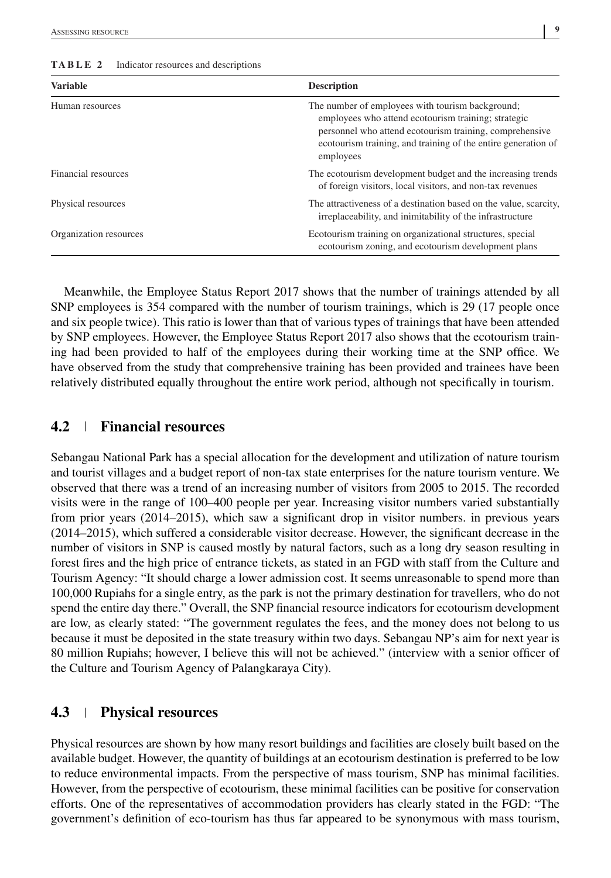| <b>Variable</b>                                                                                                                                      | <b>Description</b>                                                                                                                                                                                                                               |  |
|------------------------------------------------------------------------------------------------------------------------------------------------------|--------------------------------------------------------------------------------------------------------------------------------------------------------------------------------------------------------------------------------------------------|--|
| Human resources                                                                                                                                      | The number of employees with tourism background;<br>employees who attend ecotourism training; strategic<br>personnel who attend ecotourism training, comprehensive<br>ecotourism training, and training of the entire generation of<br>employees |  |
| Financial resources<br>The ecotourism development budget and the increasing trends<br>of foreign visitors, local visitors, and non-tax revenues      |                                                                                                                                                                                                                                                  |  |
| Physical resources<br>The attractiveness of a destination based on the value, scarcity,<br>irreplaceability, and inimitability of the infrastructure |                                                                                                                                                                                                                                                  |  |
| Organization resources                                                                                                                               | Ecotourism training on organizational structures, special<br>ecotourism zoning, and ecotourism development plans                                                                                                                                 |  |

#### <span id="page-8-0"></span>**TABLE 2** Indicator resources and descriptions

Meanwhile, the Employee Status Report 2017 shows that the number of trainings attended by all SNP employees is 354 compared with the number of tourism trainings, which is 29 (17 people once and six people twice). This ratio is lower than that of various types of trainings that have been attended by SNP employees. However, the Employee Status Report 2017 also shows that the ecotourism training had been provided to half of the employees during their working time at the SNP office. We have observed from the study that comprehensive training has been provided and trainees have been relatively distributed equally throughout the entire work period, although not specifically in tourism.

### **4.2 Financial resources**

Sebangau National Park has a special allocation for the development and utilization of nature tourism and tourist villages and a budget report of non-tax state enterprises for the nature tourism venture. We observed that there was a trend of an increasing number of visitors from 2005 to 2015. The recorded visits were in the range of 100–400 people per year. Increasing visitor numbers varied substantially from prior years (2014–2015), which saw a significant drop in visitor numbers. in previous years (2014–2015), which suffered a considerable visitor decrease. However, the significant decrease in the number of visitors in SNP is caused mostly by natural factors, such as a long dry season resulting in forest fires and the high price of entrance tickets, as stated in an FGD with staff from the Culture and Tourism Agency: "It should charge a lower admission cost. It seems unreasonable to spend more than 100,000 Rupiahs for a single entry, as the park is not the primary destination for travellers, who do not spend the entire day there." Overall, the SNP financial resource indicators for ecotourism development are low, as clearly stated: "The government regulates the fees, and the money does not belong to us because it must be deposited in the state treasury within two days. Sebangau NP's aim for next year is 80 million Rupiahs; however, I believe this will not be achieved." (interview with a senior officer of the Culture and Tourism Agency of Palangkaraya City).

#### **4.3 Physical resources**

Physical resources are shown by how many resort buildings and facilities are closely built based on the available budget. However, the quantity of buildings at an ecotourism destination is preferred to be low to reduce environmental impacts. From the perspective of mass tourism, SNP has minimal facilities. However, from the perspective of ecotourism, these minimal facilities can be positive for conservation efforts. One of the representatives of accommodation providers has clearly stated in the FGD: "The government's definition of eco-tourism has thus far appeared to be synonymous with mass tourism,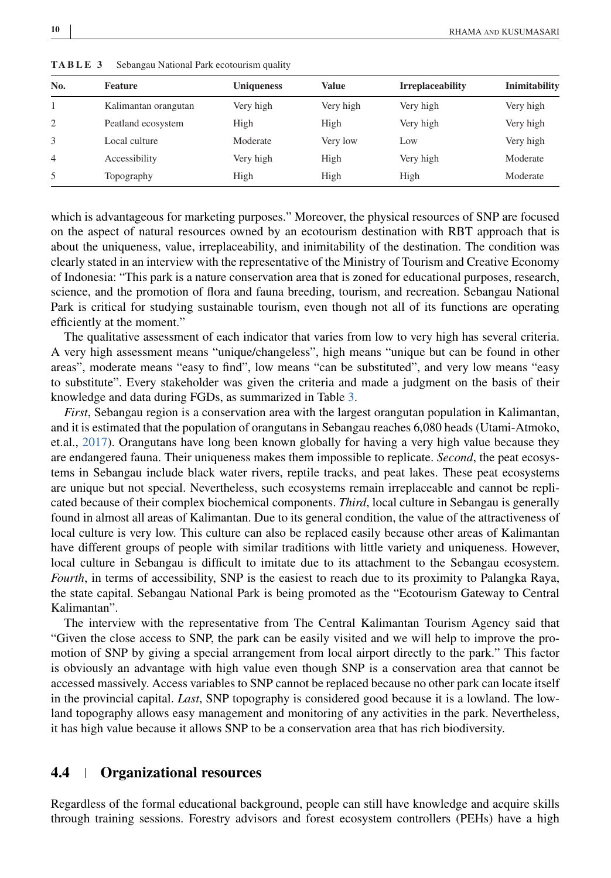| No.            | Feature              | <b>Uniqueness</b> | <b>Value</b> | <b>Irreplaceability</b> | Inimitability |
|----------------|----------------------|-------------------|--------------|-------------------------|---------------|
|                | Kalimantan orangutan | Very high         | Very high    | Very high               | Very high     |
| 2              | Peatland ecosystem   | High              | High         | Very high               | Very high     |
| 3              | Local culture        | Moderate          | Very low     | Low                     | Very high     |
| $\overline{4}$ | Accessibility        | Very high         | High         | Very high               | Moderate      |
| 5              | Topography           | High              | High         | High                    | Moderate      |

**TABLE 3** Sebangau National Park ecotourism quality

which is advantageous for marketing purposes." Moreover, the physical resources of SNP are focused on the aspect of natural resources owned by an ecotourism destination with RBT approach that is about the uniqueness, value, irreplaceability, and inimitability of the destination. The condition was clearly stated in an interview with the representative of the Ministry of Tourism and Creative Economy of Indonesia: "This park is a nature conservation area that is zoned for educational purposes, research, science, and the promotion of flora and fauna breeding, tourism, and recreation. Sebangau National Park is critical for studying sustainable tourism, even though not all of its functions are operating efficiently at the moment."

The qualitative assessment of each indicator that varies from low to very high has several criteria. A very high assessment means "unique/changeless", high means "unique but can be found in other areas", moderate means "easy to find", low means "can be substituted", and very low means "easy to substitute". Every stakeholder was given the criteria and made a judgment on the basis of their knowledge and data during FGDs, as summarized in Table 3.

*First*, Sebangau region is a conservation area with the largest orangutan population in Kalimantan, and it is estimated that the population of orangutans in Sebangau reaches 6,080 heads (Utami-Atmoko, et.al., [2017\)](#page-20-0). Orangutans have long been known globally for having a very high value because they are endangered fauna. Their uniqueness makes them impossible to replicate. *Second*, the peat ecosystems in Sebangau include black water rivers, reptile tracks, and peat lakes. These peat ecosystems are unique but not special. Nevertheless, such ecosystems remain irreplaceable and cannot be replicated because of their complex biochemical components. *Third*, local culture in Sebangau is generally found in almost all areas of Kalimantan. Due to its general condition, the value of the attractiveness of local culture is very low. This culture can also be replaced easily because other areas of Kalimantan have different groups of people with similar traditions with little variety and uniqueness. However, local culture in Sebangau is difficult to imitate due to its attachment to the Sebangau ecosystem. *Fourth*, in terms of accessibility, SNP is the easiest to reach due to its proximity to Palangka Raya, the state capital. Sebangau National Park is being promoted as the "Ecotourism Gateway to Central Kalimantan".

The interview with the representative from The Central Kalimantan Tourism Agency said that "Given the close access to SNP, the park can be easily visited and we will help to improve the promotion of SNP by giving a special arrangement from local airport directly to the park." This factor is obviously an advantage with high value even though SNP is a conservation area that cannot be accessed massively. Access variables to SNP cannot be replaced because no other park can locate itself in the provincial capital. *Last*, SNP topography is considered good because it is a lowland. The lowland topography allows easy management and monitoring of any activities in the park. Nevertheless, it has high value because it allows SNP to be a conservation area that has rich biodiversity.

#### **4.4 Organizational resources**

Regardless of the formal educational background, people can still have knowledge and acquire skills through training sessions. Forestry advisors and forest ecosystem controllers (PEHs) have a high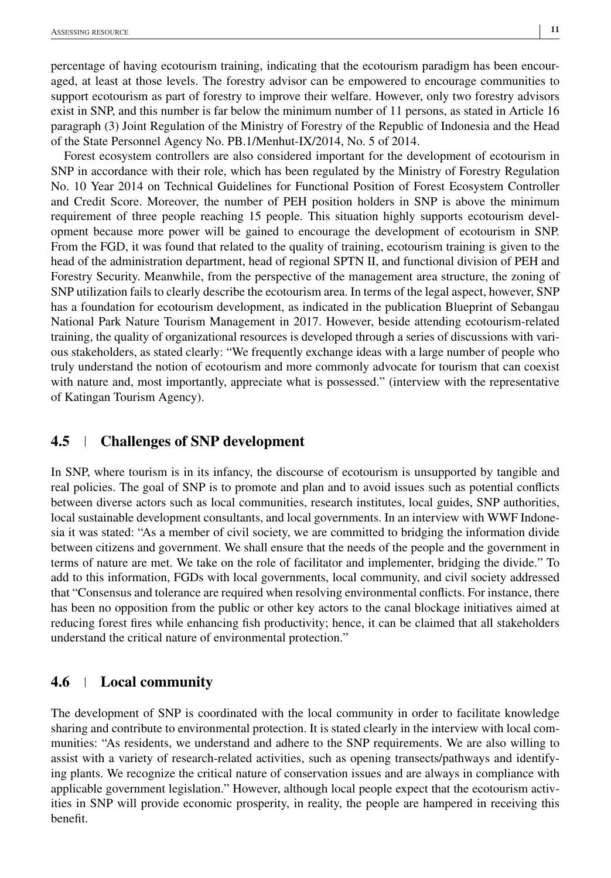percentage of having ecotourism training, indicating that the ecotourism paradigm has been encouraged, at least at those levels. The forestry advisor can be empowered to encourage communities to support ecotourism as part of forestry to improve their welfare. However, only two forestry advisors exist in SNP, and this number is far below the minimum number of 11 persons, as stated in Article 16 paragraph (3) Joint Regulation of the Ministry of Forestry of the Republic of Indonesia and the Head of the State Personnel Agency No. PB.1/Menhut-IX/2014, No. 5 of 2014.

Forest ecosystem controllers are also considered important for the development of ecotourism in SNP in accordance with their role, which has been regulated by the Ministry of Forestry Regulation No. 10 Year 2014 on Technical Guidelines for Functional Position of Forest Ecosystem Controller and Credit Score. Moreover, the number of PEH position holders in SNP is above the minimum requirement of three people reaching 15 people. This situation highly supports ecotourism development because more power will be gained to encourage the development of ecotourism in SNP. From the FGD, it was found that related to the quality of training, ecotourism training is given to the head of the administration department, head of regional SPTN II, and functional division of PEH and Forestry Security. Meanwhile, from the perspective of the management area structure, the zoning of SNP utilization fails to clearly describe the ecotourism area. In terms of the legal aspect, however, SNP has a foundation for ecotourism development, as indicated in the publication Blueprint of Sebangau National Park Nature Tourism Management in 2017. However, beside attending ecotourism-related training, the quality of organizational resources is developed through a series of discussions with various stakeholders, as stated clearly: "We frequently exchange ideas with a large number of people who truly understand the notion of ecotourism and more commonly advocate for tourism that can coexist with nature and, most importantly, appreciate what is possessed." (interview with the representative of Katingan Tourism Agency).

# **4.5 Challenges of SNP development**

In SNP, where tourism is in its infancy, the discourse of ecotourism is unsupported by tangible and real policies. The goal of SNP is to promote and plan and to avoid issues such as potential conflicts between diverse actors such as local communities, research institutes, local guides, SNP authorities, local sustainable development consultants, and local governments. In an interview with WWF Indonesia it was stated: "As a member of civil society, we are committed to bridging the information divide between citizens and government. We shall ensure that the needs of the people and the government in terms of nature are met. We take on the role of facilitator and implementer, bridging the divide." To add to this information, FGDs with local governments, local community, and civil society addressed that "Consensus and tolerance are required when resolving environmental conflicts. For instance, there has been no opposition from the public or other key actors to the canal blockage initiatives aimed at reducing forest fires while enhancing fish productivity; hence, it can be claimed that all stakeholders understand the critical nature of environmental protection."

# **4.6 Local community**

The development of SNP is coordinated with the local community in order to facilitate knowledge sharing and contribute to environmental protection. It is stated clearly in the interview with local communities: "As residents, we understand and adhere to the SNP requirements. We are also willing to assist with a variety of research-related activities, such as opening transects/pathways and identifying plants. We recognize the critical nature of conservation issues and are always in compliance with applicable government legislation." However, although local people expect that the ecotourism activities in SNP will provide economic prosperity, in reality, the people are hampered in receiving this benefit.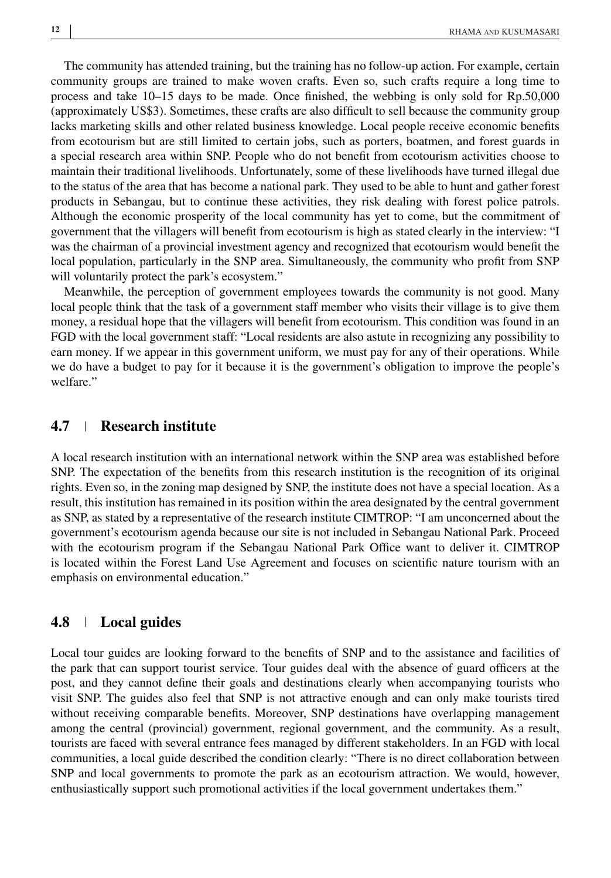The community has attended training, but the training has no follow-up action. For example, certain community groups are trained to make woven crafts. Even so, such crafts require a long time to process and take 10–15 days to be made. Once finished, the webbing is only sold for Rp.50,000 (approximately US\$3). Sometimes, these crafts are also difficult to sell because the community group lacks marketing skills and other related business knowledge. Local people receive economic benefits from ecotourism but are still limited to certain jobs, such as porters, boatmen, and forest guards in a special research area within SNP. People who do not benefit from ecotourism activities choose to maintain their traditional livelihoods. Unfortunately, some of these livelihoods have turned illegal due to the status of the area that has become a national park. They used to be able to hunt and gather forest products in Sebangau, but to continue these activities, they risk dealing with forest police patrols. Although the economic prosperity of the local community has yet to come, but the commitment of government that the villagers will benefit from ecotourism is high as stated clearly in the interview: "I was the chairman of a provincial investment agency and recognized that ecotourism would benefit the local population, particularly in the SNP area. Simultaneously, the community who profit from SNP will voluntarily protect the park's ecosystem."

Meanwhile, the perception of government employees towards the community is not good. Many local people think that the task of a government staff member who visits their village is to give them money, a residual hope that the villagers will benefit from ecotourism. This condition was found in an FGD with the local government staff: "Local residents are also astute in recognizing any possibility to earn money. If we appear in this government uniform, we must pay for any of their operations. While we do have a budget to pay for it because it is the government's obligation to improve the people's welfare."

### **4.7 Research institute**

A local research institution with an international network within the SNP area was established before SNP. The expectation of the benefits from this research institution is the recognition of its original rights. Even so, in the zoning map designed by SNP, the institute does not have a special location. As a result, this institution has remained in its position within the area designated by the central government as SNP, as stated by a representative of the research institute CIMTROP: "I am unconcerned about the government's ecotourism agenda because our site is not included in Sebangau National Park. Proceed with the ecotourism program if the Sebangau National Park Office want to deliver it. CIMTROP is located within the Forest Land Use Agreement and focuses on scientific nature tourism with an emphasis on environmental education."

#### **4.8 Local guides**

Local tour guides are looking forward to the benefits of SNP and to the assistance and facilities of the park that can support tourist service. Tour guides deal with the absence of guard officers at the post, and they cannot define their goals and destinations clearly when accompanying tourists who visit SNP. The guides also feel that SNP is not attractive enough and can only make tourists tired without receiving comparable benefits. Moreover, SNP destinations have overlapping management among the central (provincial) government, regional government, and the community. As a result, tourists are faced with several entrance fees managed by different stakeholders. In an FGD with local communities, a local guide described the condition clearly: "There is no direct collaboration between SNP and local governments to promote the park as an ecotourism attraction. We would, however, enthusiastically support such promotional activities if the local government undertakes them."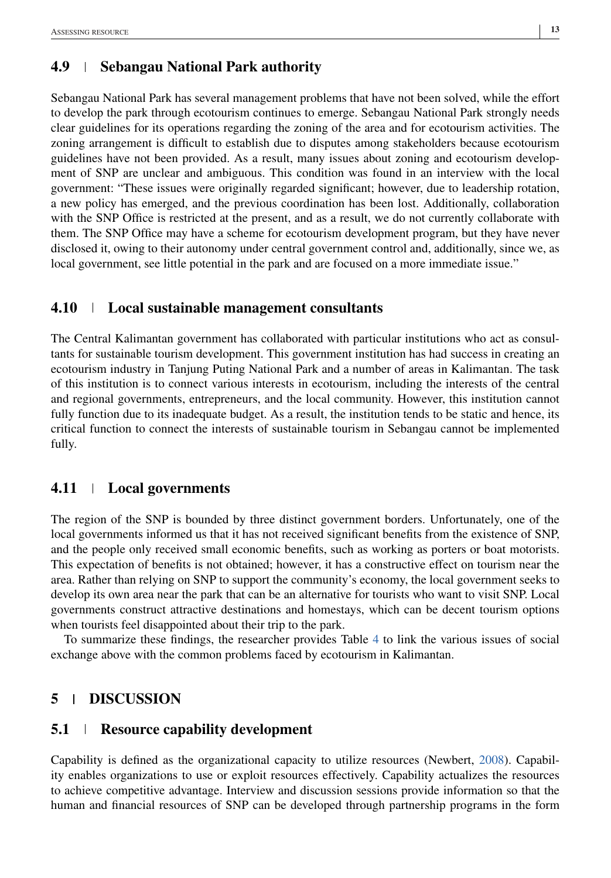# **4.9 Sebangau National Park authority**

Sebangau National Park has several management problems that have not been solved, while the effort to develop the park through ecotourism continues to emerge. Sebangau National Park strongly needs clear guidelines for its operations regarding the zoning of the area and for ecotourism activities. The zoning arrangement is difficult to establish due to disputes among stakeholders because ecotourism guidelines have not been provided. As a result, many issues about zoning and ecotourism development of SNP are unclear and ambiguous. This condition was found in an interview with the local government: "These issues were originally regarded significant; however, due to leadership rotation, a new policy has emerged, and the previous coordination has been lost. Additionally, collaboration with the SNP Office is restricted at the present, and as a result, we do not currently collaborate with them. The SNP Office may have a scheme for ecotourism development program, but they have never disclosed it, owing to their autonomy under central government control and, additionally, since we, as local government, see little potential in the park and are focused on a more immediate issue."

# **4.10 Local sustainable management consultants**

The Central Kalimantan government has collaborated with particular institutions who act as consultants for sustainable tourism development. This government institution has had success in creating an ecotourism industry in Tanjung Puting National Park and a number of areas in Kalimantan. The task of this institution is to connect various interests in ecotourism, including the interests of the central and regional governments, entrepreneurs, and the local community. However, this institution cannot fully function due to its inadequate budget. As a result, the institution tends to be static and hence, its critical function to connect the interests of sustainable tourism in Sebangau cannot be implemented fully.

# **4.11 Local governments**

The region of the SNP is bounded by three distinct government borders. Unfortunately, one of the local governments informed us that it has not received significant benefits from the existence of SNP, and the people only received small economic benefits, such as working as porters or boat motorists. This expectation of benefits is not obtained; however, it has a constructive effect on tourism near the area. Rather than relying on SNP to support the community's economy, the local government seeks to develop its own area near the park that can be an alternative for tourists who want to visit SNP. Local governments construct attractive destinations and homestays, which can be decent tourism options when tourists feel disappointed about their trip to the park.

To summarize these findings, the researcher provides Table [4](#page-13-0) to link the various issues of social exchange above with the common problems faced by ecotourism in Kalimantan.

# **5 DISCUSSION**

# **5.1 Resource capability development**

Capability is defined as the organizational capacity to utilize resources (Newbert, [2008\)](#page-19-0). Capability enables organizations to use or exploit resources effectively. Capability actualizes the resources to achieve competitive advantage. Interview and discussion sessions provide information so that the human and financial resources of SNP can be developed through partnership programs in the form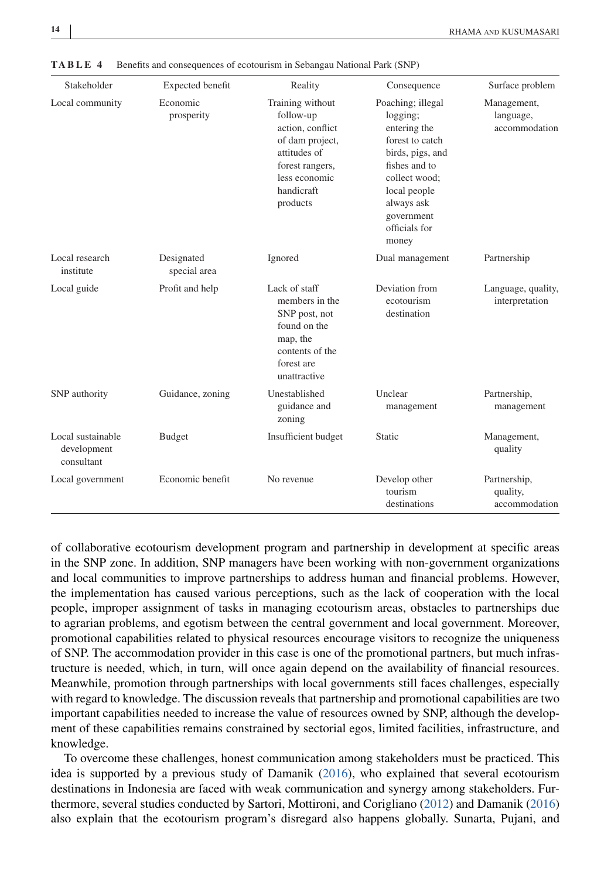| Stakeholder                                    | Expected benefit           | Reality                                                                                                                                            | Consequence                                                                                                                                                                                  | Surface problem                           |
|------------------------------------------------|----------------------------|----------------------------------------------------------------------------------------------------------------------------------------------------|----------------------------------------------------------------------------------------------------------------------------------------------------------------------------------------------|-------------------------------------------|
| Local community                                | Economic<br>prosperity     | Training without<br>follow-up<br>action, conflict<br>of dam project,<br>attitudes of<br>forest rangers,<br>less economic<br>handicraft<br>products | Poaching; illegal<br>logging;<br>entering the<br>forest to catch<br>birds, pigs, and<br>fishes and to<br>collect wood;<br>local people<br>always ask<br>government<br>officials for<br>money | Management,<br>language,<br>accommodation |
| Local research<br>institute                    | Designated<br>special area | Ignored                                                                                                                                            | Dual management                                                                                                                                                                              | Partnership                               |
| Local guide                                    | Profit and help            | Lack of staff<br>members in the<br>SNP post, not<br>found on the<br>map, the<br>contents of the<br>forest are<br>unattractive                      | Deviation from<br>ecotourism<br>destination                                                                                                                                                  | Language, quality,<br>interpretation      |
| SNP authority                                  | Guidance, zoning           | Unestablished<br>guidance and<br>zoning                                                                                                            | Unclear<br>management                                                                                                                                                                        | Partnership,<br>management                |
| Local sustainable<br>development<br>consultant | <b>Budget</b>              | Insufficient budget                                                                                                                                | Static                                                                                                                                                                                       | Management,<br>quality                    |
| Local government                               | Economic benefit           | No revenue                                                                                                                                         | Develop other<br>tourism<br>destinations                                                                                                                                                     | Partnership,<br>quality,<br>accommodation |

<span id="page-13-0"></span>**TABLE 4** Benefits and consequences of ecotourism in Sebangau National Park (SNP)

of collaborative ecotourism development program and partnership in development at specific areas in the SNP zone. In addition, SNP managers have been working with non-government organizations and local communities to improve partnerships to address human and financial problems. However, the implementation has caused various perceptions, such as the lack of cooperation with the local people, improper assignment of tasks in managing ecotourism areas, obstacles to partnerships due to agrarian problems, and egotism between the central government and local government. Moreover, promotional capabilities related to physical resources encourage visitors to recognize the uniqueness of SNP. The accommodation provider in this case is one of the promotional partners, but much infrastructure is needed, which, in turn, will once again depend on the availability of financial resources. Meanwhile, promotion through partnerships with local governments still faces challenges, especially with regard to knowledge. The discussion reveals that partnership and promotional capabilities are two important capabilities needed to increase the value of resources owned by SNP, although the development of these capabilities remains constrained by sectorial egos, limited facilities, infrastructure, and knowledge.

To overcome these challenges, honest communication among stakeholders must be practiced. This idea is supported by a previous study of Damanik [\(2016\)](#page-18-0), who explained that several ecotourism destinations in Indonesia are faced with weak communication and synergy among stakeholders. Furthermore, several studies conducted by Sartori, Mottironi, and Corigliano [\(2012\)](#page-19-0) and Damanik [\(2016\)](#page-18-0) also explain that the ecotourism program's disregard also happens globally. Sunarta, Pujani, and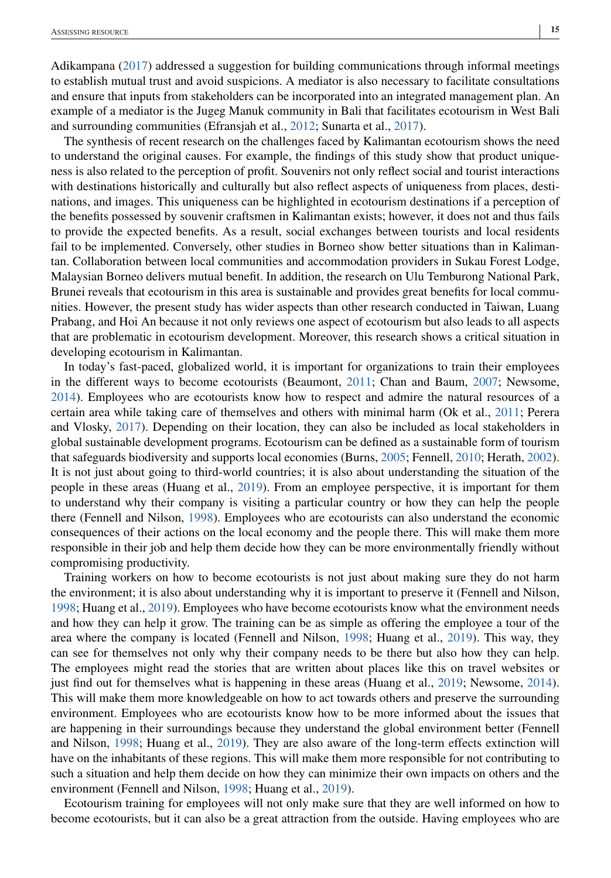Adikampana [\(2017\)](#page-20-0) addressed a suggestion for building communications through informal meetings to establish mutual trust and avoid suspicions. A mediator is also necessary to facilitate consultations and ensure that inputs from stakeholders can be incorporated into an integrated management plan. An example of a mediator is the Jugeg Manuk community in Bali that facilitates ecotourism in West Bali and surrounding communities (Efransjah et al., [2012;](#page-18-0) Sunarta et al., [2017\)](#page-20-0).

The synthesis of recent research on the challenges faced by Kalimantan ecotourism shows the need to understand the original causes. For example, the findings of this study show that product uniqueness is also related to the perception of profit. Souvenirs not only reflect social and tourist interactions with destinations historically and culturally but also reflect aspects of uniqueness from places, destinations, and images. This uniqueness can be highlighted in ecotourism destinations if a perception of the benefits possessed by souvenir craftsmen in Kalimantan exists; however, it does not and thus fails to provide the expected benefits. As a result, social exchanges between tourists and local residents fail to be implemented. Conversely, other studies in Borneo show better situations than in Kalimantan. Collaboration between local communities and accommodation providers in Sukau Forest Lodge, Malaysian Borneo delivers mutual benefit. In addition, the research on Ulu Temburong National Park, Brunei reveals that ecotourism in this area is sustainable and provides great benefits for local communities. However, the present study has wider aspects than other research conducted in Taiwan, Luang Prabang, and Hoi An because it not only reviews one aspect of ecotourism but also leads to all aspects that are problematic in ecotourism development. Moreover, this research shows a critical situation in developing ecotourism in Kalimantan.

In today's fast-paced, globalized world, it is important for organizations to train their employees in the different ways to become ecotourists (Beaumont, [2011;](#page-18-0) Chan and Baum, [2007;](#page-18-0) Newsome, [2014\)](#page-19-0). Employees who are ecotourists know how to respect and admire the natural resources of a certain area while taking care of themselves and others with minimal harm (Ok et al., [2011;](#page-19-0) Perera and Vlosky, [2017\)](#page-19-0). Depending on their location, they can also be included as local stakeholders in global sustainable development programs. Ecotourism can be defined as a sustainable form of tourism that safeguards biodiversity and supports local economies (Burns, [2005;](#page-18-0) Fennell, [2010;](#page-18-0) Herath, [2002\)](#page-18-0). It is not just about going to third-world countries; it is also about understanding the situation of the people in these areas (Huang et al., [2019\)](#page-19-0). From an employee perspective, it is important for them to understand why their company is visiting a particular country or how they can help the people there (Fennell and Nilson, [1998\)](#page-18-0). Employees who are ecotourists can also understand the economic consequences of their actions on the local economy and the people there. This will make them more responsible in their job and help them decide how they can be more environmentally friendly without compromising productivity.

Training workers on how to become ecotourists is not just about making sure they do not harm the environment; it is also about understanding why it is important to preserve it (Fennell and Nilson, [1998;](#page-18-0) Huang et al., [2019\)](#page-19-0). Employees who have become ecotourists know what the environment needs and how they can help it grow. The training can be as simple as offering the employee a tour of the area where the company is located (Fennell and Nilson, [1998;](#page-18-0) Huang et al., [2019\)](#page-19-0). This way, they can see for themselves not only why their company needs to be there but also how they can help. The employees might read the stories that are written about places like this on travel websites or just find out for themselves what is happening in these areas (Huang et al., [2019;](#page-19-0) Newsome, [2014\)](#page-19-0). This will make them more knowledgeable on how to act towards others and preserve the surrounding environment. Employees who are ecotourists know how to be more informed about the issues that are happening in their surroundings because they understand the global environment better (Fennell and Nilson, [1998;](#page-18-0) Huang et al., [2019\)](#page-19-0). They are also aware of the long-term effects extinction will have on the inhabitants of these regions. This will make them more responsible for not contributing to such a situation and help them decide on how they can minimize their own impacts on others and the environment (Fennell and Nilson, [1998;](#page-18-0) Huang et al., [2019\)](#page-19-0).

Ecotourism training for employees will not only make sure that they are well informed on how to become ecotourists, but it can also be a great attraction from the outside. Having employees who are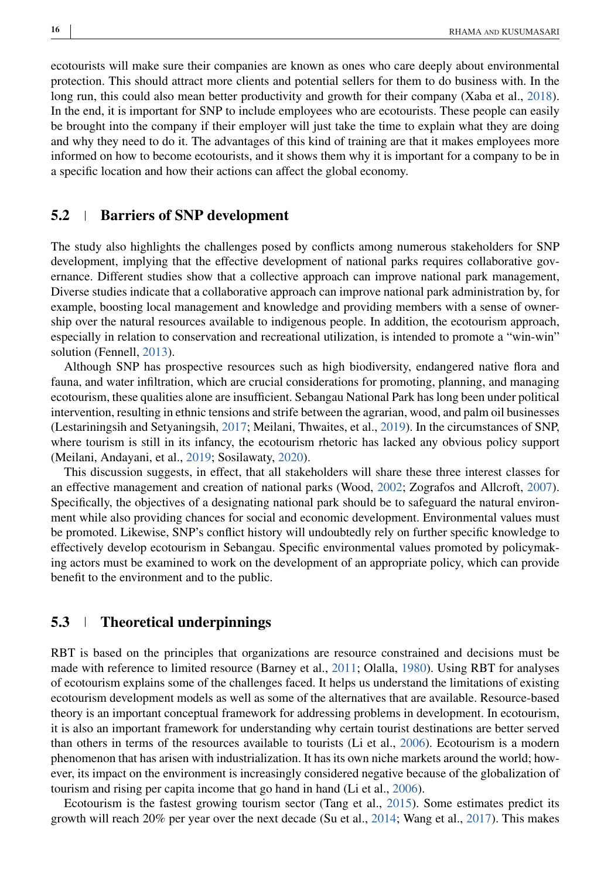ecotourists will make sure their companies are known as ones who care deeply about environmental protection. This should attract more clients and potential sellers for them to do business with. In the long run, this could also mean better productivity and growth for their company (Xaba et al., [2018\)](#page-20-0). In the end, it is important for SNP to include employees who are ecotourists. These people can easily be brought into the company if their employer will just take the time to explain what they are doing and why they need to do it. The advantages of this kind of training are that it makes employees more informed on how to become ecotourists, and it shows them why it is important for a company to be in a specific location and how their actions can affect the global economy.

#### **5.2 Barriers of SNP development**

The study also highlights the challenges posed by conflicts among numerous stakeholders for SNP development, implying that the effective development of national parks requires collaborative governance. Different studies show that a collective approach can improve national park management, Diverse studies indicate that a collaborative approach can improve national park administration by, for example, boosting local management and knowledge and providing members with a sense of ownership over the natural resources available to indigenous people. In addition, the ecotourism approach, especially in relation to conservation and recreational utilization, is intended to promote a "win-win" solution (Fennell, [2013\)](#page-18-0).

Although SNP has prospective resources such as high biodiversity, endangered native flora and fauna, and water infiltration, which are crucial considerations for promoting, planning, and managing ecotourism, these qualities alone are insufficient. Sebangau National Park has long been under political intervention, resulting in ethnic tensions and strife between the agrarian, wood, and palm oil businesses (Lestariningsih and Setyaningsih, [2017;](#page-19-0) Meilani, Thwaites, et al., [2019\)](#page-19-0). In the circumstances of SNP, where tourism is still in its infancy, the ecotourism rhetoric has lacked any obvious policy support (Meilani, Andayani, et al., [2019;](#page-19-0) Sosilawaty, [2020\)](#page-20-0).

This discussion suggests, in effect, that all stakeholders will share these three interest classes for an effective management and creation of national parks (Wood, [2002;](#page-20-0) Zografos and Allcroft, [2007\)](#page-20-0). Specifically, the objectives of a designating national park should be to safeguard the natural environment while also providing chances for social and economic development. Environmental values must be promoted. Likewise, SNP's conflict history will undoubtedly rely on further specific knowledge to effectively develop ecotourism in Sebangau. Specific environmental values promoted by policymaking actors must be examined to work on the development of an appropriate policy, which can provide benefit to the environment and to the public.

#### **5.3 Theoretical underpinnings**

RBT is based on the principles that organizations are resource constrained and decisions must be made with reference to limited resource (Barney et al., [2011;](#page-18-0) Olalla, [1980\)](#page-19-0). Using RBT for analyses of ecotourism explains some of the challenges faced. It helps us understand the limitations of existing ecotourism development models as well as some of the alternatives that are available. Resource-based theory is an important conceptual framework for addressing problems in development. In ecotourism, it is also an important framework for understanding why certain tourist destinations are better served than others in terms of the resources available to tourists (Li et al., [2006\)](#page-19-0). Ecotourism is a modern phenomenon that has arisen with industrialization. It has its own niche markets around the world; however, its impact on the environment is increasingly considered negative because of the globalization of tourism and rising per capita income that go hand in hand (Li et al., [2006\)](#page-19-0).

Ecotourism is the fastest growing tourism sector (Tang et al., [2015\)](#page-20-0). Some estimates predict its growth will reach 20% per year over the next decade (Su et al., [2014;](#page-20-0) Wang et al., [2017\)](#page-20-0). This makes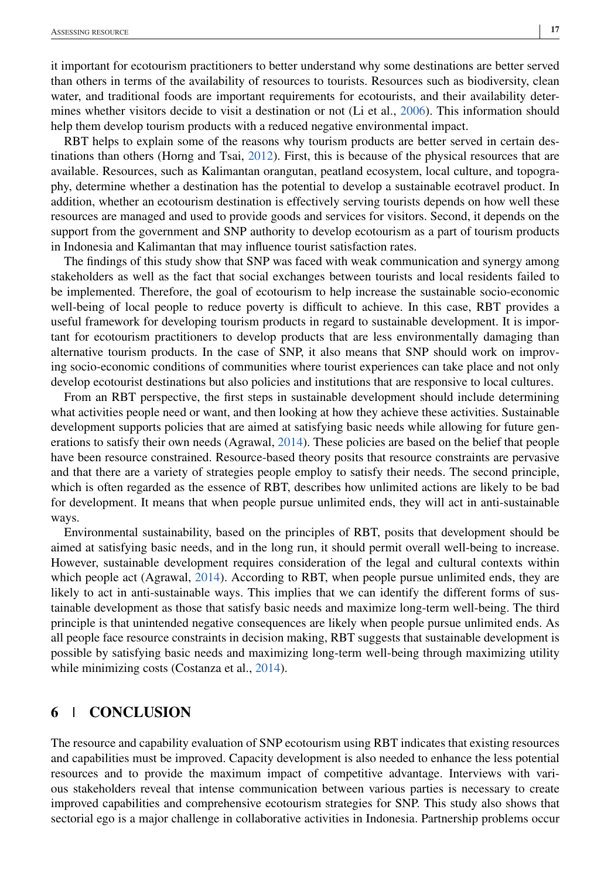it important for ecotourism practitioners to better understand why some destinations are better served than others in terms of the availability of resources to tourists. Resources such as biodiversity, clean water, and traditional foods are important requirements for ecotourists, and their availability determines whether visitors decide to visit a destination or not (Li et al., [2006\)](#page-19-0). This information should help them develop tourism products with a reduced negative environmental impact.

RBT helps to explain some of the reasons why tourism products are better served in certain destinations than others (Horng and Tsai, [2012\)](#page-18-0). First, this is because of the physical resources that are available. Resources, such as Kalimantan orangutan, peatland ecosystem, local culture, and topography, determine whether a destination has the potential to develop a sustainable ecotravel product. In addition, whether an ecotourism destination is effectively serving tourists depends on how well these resources are managed and used to provide goods and services for visitors. Second, it depends on the support from the government and SNP authority to develop ecotourism as a part of tourism products in Indonesia and Kalimantan that may influence tourist satisfaction rates.

The findings of this study show that SNP was faced with weak communication and synergy among stakeholders as well as the fact that social exchanges between tourists and local residents failed to be implemented. Therefore, the goal of ecotourism to help increase the sustainable socio-economic well-being of local people to reduce poverty is difficult to achieve. In this case, RBT provides a useful framework for developing tourism products in regard to sustainable development. It is important for ecotourism practitioners to develop products that are less environmentally damaging than alternative tourism products. In the case of SNP, it also means that SNP should work on improving socio-economic conditions of communities where tourist experiences can take place and not only develop ecotourist destinations but also policies and institutions that are responsive to local cultures.

From an RBT perspective, the first steps in sustainable development should include determining what activities people need or want, and then looking at how they achieve these activities. Sustainable development supports policies that are aimed at satisfying basic needs while allowing for future generations to satisfy their own needs (Agrawal, [2014\)](#page-17-0). These policies are based on the belief that people have been resource constrained. Resource-based theory posits that resource constraints are pervasive and that there are a variety of strategies people employ to satisfy their needs. The second principle, which is often regarded as the essence of RBT, describes how unlimited actions are likely to be bad for development. It means that when people pursue unlimited ends, they will act in anti-sustainable ways.

Environmental sustainability, based on the principles of RBT, posits that development should be aimed at satisfying basic needs, and in the long run, it should permit overall well-being to increase. However, sustainable development requires consideration of the legal and cultural contexts within which people act (Agrawal, [2014\)](#page-17-0). According to RBT, when people pursue unlimited ends, they are likely to act in anti-sustainable ways. This implies that we can identify the different forms of sustainable development as those that satisfy basic needs and maximize long-term well-being. The third principle is that unintended negative consequences are likely when people pursue unlimited ends. As all people face resource constraints in decision making, RBT suggests that sustainable development is possible by satisfying basic needs and maximizing long-term well-being through maximizing utility while minimizing costs (Costanza et al., [2014\)](#page-18-0).

### **6 CONCLUSION**

The resource and capability evaluation of SNP ecotourism using RBT indicates that existing resources and capabilities must be improved. Capacity development is also needed to enhance the less potential resources and to provide the maximum impact of competitive advantage. Interviews with various stakeholders reveal that intense communication between various parties is necessary to create improved capabilities and comprehensive ecotourism strategies for SNP. This study also shows that sectorial ego is a major challenge in collaborative activities in Indonesia. Partnership problems occur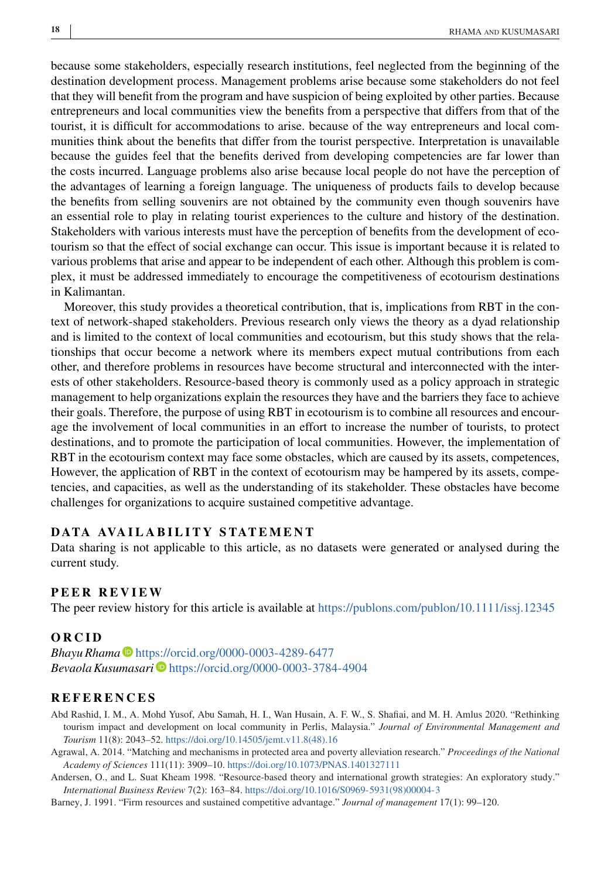<span id="page-17-0"></span>because some stakeholders, especially research institutions, feel neglected from the beginning of the destination development process. Management problems arise because some stakeholders do not feel that they will benefit from the program and have suspicion of being exploited by other parties. Because entrepreneurs and local communities view the benefits from a perspective that differs from that of the tourist, it is difficult for accommodations to arise. because of the way entrepreneurs and local communities think about the benefits that differ from the tourist perspective. Interpretation is unavailable because the guides feel that the benefits derived from developing competencies are far lower than the costs incurred. Language problems also arise because local people do not have the perception of the advantages of learning a foreign language. The uniqueness of products fails to develop because the benefits from selling souvenirs are not obtained by the community even though souvenirs have an essential role to play in relating tourist experiences to the culture and history of the destination. Stakeholders with various interests must have the perception of benefits from the development of ecotourism so that the effect of social exchange can occur. This issue is important because it is related to various problems that arise and appear to be independent of each other. Although this problem is complex, it must be addressed immediately to encourage the competitiveness of ecotourism destinations in Kalimantan.

Moreover, this study provides a theoretical contribution, that is, implications from RBT in the context of network-shaped stakeholders. Previous research only views the theory as a dyad relationship and is limited to the context of local communities and ecotourism, but this study shows that the relationships that occur become a network where its members expect mutual contributions from each other, and therefore problems in resources have become structural and interconnected with the interests of other stakeholders. Resource-based theory is commonly used as a policy approach in strategic management to help organizations explain the resources they have and the barriers they face to achieve their goals. Therefore, the purpose of using RBT in ecotourism is to combine all resources and encourage the involvement of local communities in an effort to increase the number of tourists, to protect destinations, and to promote the participation of local communities. However, the implementation of RBT in the ecotourism context may face some obstacles, which are caused by its assets, competences, However, the application of RBT in the context of ecotourism may be hampered by its assets, competencies, and capacities, as well as the understanding of its stakeholder. These obstacles have become challenges for organizations to acquire sustained competitive advantage.

#### **DATA AVAILABILITY STATEMENT**

Data sharing is not applicable to this article, as no datasets were generated or analysed during the current study.

#### **PEER REVIEW**

The peer review history for this article is available at <https://publons.com/publon/10.1111/issj.12345>

#### **ORCID**

*Bhayu Rhama D* <https://orcid.org/0000-0003-4289-6477> *Bevaola Kusumasari* <https://orcid.org/0000-0003-3784-4904>

#### **REFERENCES**

- Abd Rashid, I. M., A. Mohd Yusof, Abu Samah, H. I., Wan Husain, A. F. W., S. Shafiai, and M. H. Amlus 2020. "Rethinking tourism impact and development on local community in Perlis, Malaysia." *Journal of Environmental Management and Tourism* 11(8): 2043–52. [https://doi.org/10.14505/jemt.v11.8\(48\).16](https://doi.org/10.14505/jemt.v11.8(48).16)
- Agrawal, A. 2014. "Matching and mechanisms in protected area and poverty alleviation research." *Proceedings of the National Academy of Sciences* 111(11): 3909–10. <https://doi.org/10.1073/PNAS.1401327111>
- Andersen, O., and L. Suat Kheam 1998. "Resource-based theory and international growth strategies: An exploratory study." *International Business Review* 7(2): 163–84. [https://doi.org/10.1016/S0969-5931\(98\)00004-3](https://doi.org/10.1016/S0969-5931(98)00004-3)

Barney, J. 1991. "Firm resources and sustained competitive advantage." *Journal of management* 17(1): 99–120.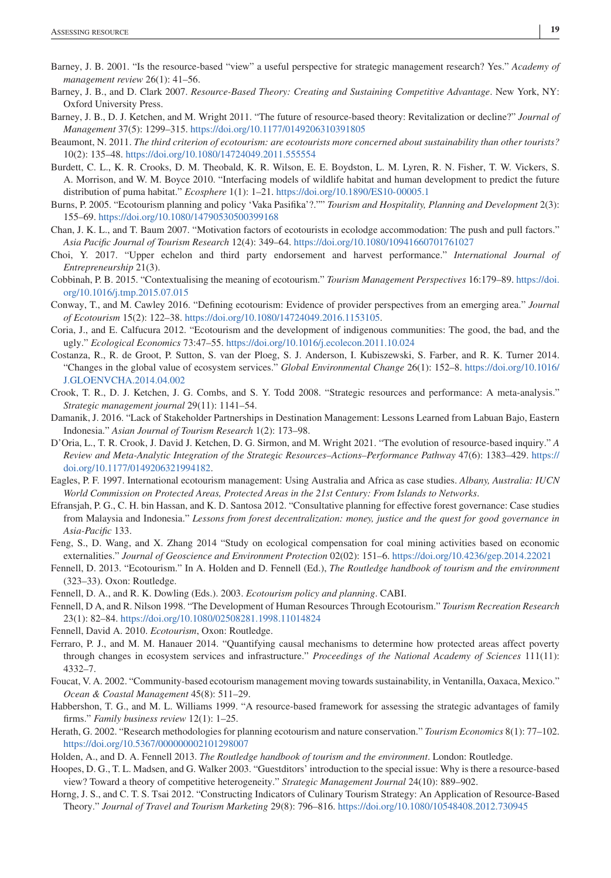- <span id="page-18-0"></span>Barney, J. B. 2001. "Is the resource-based "view" a useful perspective for strategic management research? Yes." *Academy of management review* 26(1): 41–56.
- Barney, J. B., and D. Clark 2007. *Resource-Based Theory: Creating and Sustaining Competitive Advantage*. New York, NY: Oxford University Press.
- Barney, J. B., D. J. Ketchen, and M. Wright 2011. "The future of resource-based theory: Revitalization or decline?" *Journal of Management* 37(5): 1299–315. <https://doi.org/10.1177/0149206310391805>
- Beaumont, N. 2011. *The third criterion of ecotourism: are ecotourists more concerned about sustainability than other tourists?* 10(2): 135–48. <https://doi.org/10.1080/14724049.2011.555554>
- Burdett, C. L., K. R. Crooks, D. M. Theobald, K. R. Wilson, E. E. Boydston, L. M. Lyren, R. N. Fisher, T. W. Vickers, S. A. Morrison, and W. M. Boyce 2010. "Interfacing models of wildlife habitat and human development to predict the future distribution of puma habitat." *Ecosphere* 1(1): 1–21. <https://doi.org/10.1890/ES10-00005.1>
- Burns, P. 2005. "Ecotourism planning and policy 'Vaka Pasifika'?."" *Tourism and Hospitality, Planning and Development* 2(3): 155–69. <https://doi.org/10.1080/14790530500399168>
- Chan, J. K. L., and T. Baum 2007. "Motivation factors of ecotourists in ecolodge accommodation: The push and pull factors." *Asia Pacific Journal of Tourism Research* 12(4): 349–64. <https://doi.org/10.1080/10941660701761027>
- Choi, Y. 2017. "Upper echelon and third party endorsement and harvest performance." *International Journal of Entrepreneurship* 21(3).
- Cobbinah, P. B. 2015. "Contextualising the meaning of ecotourism." *Tourism Management Perspectives* 16:179–89. [https://doi.](https://doi.org/10.1016/j.tmp.2015.07.015) [org/10.1016/j.tmp.2015.07.015](https://doi.org/10.1016/j.tmp.2015.07.015)
- Conway, T., and M. Cawley 2016. "Defining ecotourism: Evidence of provider perspectives from an emerging area." *Journal of Ecotourism* 15(2): 122–38. [https://doi.org/10.1080/14724049.2016.1153105.](https://doi.org/10.1080/14724049.2016.1153105)
- Coria, J., and E. Calfucura 2012. "Ecotourism and the development of indigenous communities: The good, the bad, and the ugly." *Ecological Economics* 73:47–55. <https://doi.org/10.1016/j.ecolecon.2011.10.024>
- Costanza, R., R. de Groot, P. Sutton, S. van der Ploeg, S. J. Anderson, I. Kubiszewski, S. Farber, and R. K. Turner 2014. "Changes in the global value of ecosystem services." *Global Environmental Change* 26(1): 152–8. [https://doi.org/10.1016/](https://doi.org/10.1016/J.GLOENVCHA.2014.04.002) [J.GLOENVCHA.2014.04.002](https://doi.org/10.1016/J.GLOENVCHA.2014.04.002)
- Crook, T. R., D. J. Ketchen, J. G. Combs, and S. Y. Todd 2008. "Strategic resources and performance: A meta-analysis." *Strategic management journal* 29(11): 1141–54.
- Damanik, J. 2016. "Lack of Stakeholder Partnerships in Destination Management: Lessons Learned from Labuan Bajo, Eastern Indonesia." *Asian Journal of Tourism Research* 1(2): 173–98.
- D'Oria, L., T. R. Crook, J. David J. Ketchen, D. G. Sirmon, and M. Wright 2021. "The evolution of resource-based inquiry." *A Review and Meta-Analytic Integration of the Strategic Resources–Actions–Performance Pathway* 47(6): 1383–429. [https://](https://doi.org/10.1177/0149206321994182) [doi.org/10.1177/0149206321994182.](https://doi.org/10.1177/0149206321994182)
- Eagles, P. F. 1997. International ecotourism management: Using Australia and Africa as case studies. *Albany, Australia: IUCN World Commission on Protected Areas, Protected Areas in the 21st Century: From Islands to Networks*.
- Efransjah, P. G., C. H. bin Hassan, and K. D. Santosa 2012. "Consultative planning for effective forest governance: Case studies from Malaysia and Indonesia." *Lessons from forest decentralization: money, justice and the quest for good governance in Asia-Pacific* 133.
- Feng, S., D. Wang, and X. Zhang 2014 "Study on ecological compensation for coal mining activities based on economic externalities." *Journal of Geoscience and Environment Protection* 02(02): 151–6. <https://doi.org/10.4236/gep.2014.22021>
- Fennell, D. 2013. "Ecotourism." In A. Holden and D. Fennell (Ed.), *The Routledge handbook of tourism and the environment* (323–33). Oxon: Routledge.
- Fennell, D. A., and R. K. Dowling (Eds.). 2003. *Ecotourism policy and planning*. CABI.
- Fennell, D A, and R. Nilson 1998. "The Development of Human Resources Through Ecotourism." *Tourism Recreation Research* 23(1): 82–84. <https://doi.org/10.1080/02508281.1998.11014824>
- Fennell, David A. 2010. *Ecotourism*, Oxon: Routledge.
- Ferraro, P. J., and M. M. Hanauer 2014. "Quantifying causal mechanisms to determine how protected areas affect poverty through changes in ecosystem services and infrastructure." *Proceedings of the National Academy of Sciences* 111(11): 4332–7.
- Foucat, V. A. 2002. "Community-based ecotourism management moving towards sustainability, in Ventanilla, Oaxaca, Mexico." *Ocean & Coastal Management* 45(8): 511–29.
- Habbershon, T. G., and M. L. Williams 1999. "A resource-based framework for assessing the strategic advantages of family firms." *Family business review* 12(1): 1–25.
- Herath, G. 2002. "Research methodologies for planning ecotourism and nature conservation." *Tourism Economics* 8(1): 77–102. <https://doi.org/10.5367/000000002101298007>
- Holden, A., and D. A. Fennell 2013. *The Routledge handbook of tourism and the environment*. London: Routledge.
- Hoopes, D. G., T. L. Madsen, and G. Walker 2003. "Guestditors' introduction to the special issue: Why is there a resource-based view? Toward a theory of competitive heterogeneity." *Strategic Management Journal* 24(10): 889–902.
- Horng, J. S., and C. T. S. Tsai 2012. "Constructing Indicators of Culinary Tourism Strategy: An Application of Resource-Based Theory." *Journal of Travel and Tourism Marketing* 29(8): 796–816. <https://doi.org/10.1080/10548408.2012.730945>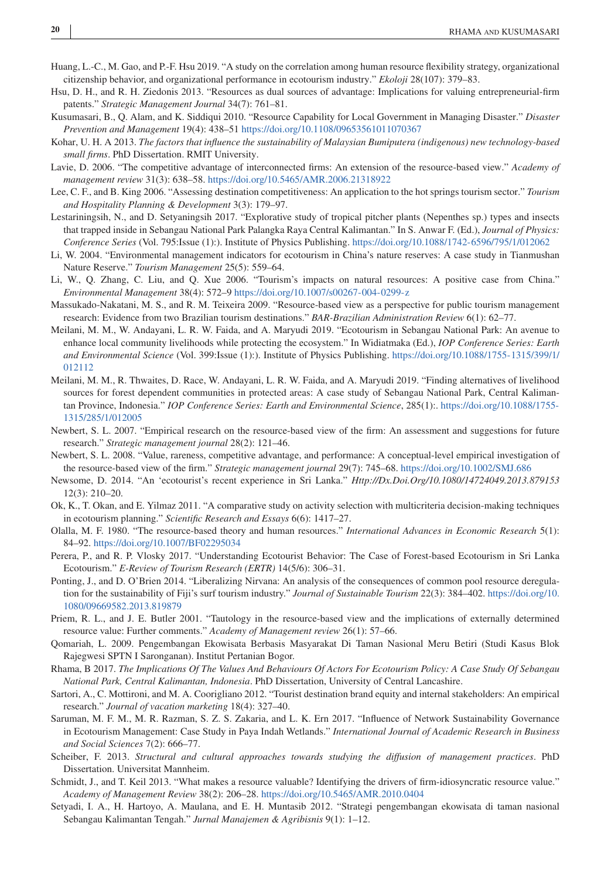- <span id="page-19-0"></span>Huang, L.-C., M. Gao, and P.-F. Hsu 2019. "A study on the correlation among human resource flexibility strategy, organizational citizenship behavior, and organizational performance in ecotourism industry." *Ekoloji* 28(107): 379–83.
- Hsu, D. H., and R. H. Ziedonis 2013. "Resources as dual sources of advantage: Implications for valuing entrepreneurial-firm patents." *Strategic Management Journal* 34(7): 761–81.
- Kusumasari, B., Q. Alam, and K. Siddiqui 2010. "Resource Capability for Local Government in Managing Disaster." *Disaster Prevention and Management* 19(4): 438–51 <https://doi.org/10.1108/09653561011070367>
- Kohar, U. H. A 2013. *The factors that influence the sustainability of Malaysian Bumiputera (indigenous) new technology-based small firms*. PhD Dissertation. RMIT University.
- Lavie, D. 2006. "The competitive advantage of interconnected firms: An extension of the resource-based view." *Academy of management review* 31(3): 638–58. <https://doi.org/10.5465/AMR.2006.21318922>
- Lee, C. F., and B. King 2006. "Assessing destination competitiveness: An application to the hot springs tourism sector." *Tourism and Hospitality Planning & Development* 3(3): 179–97.
- Lestariningsih, N., and D. Setyaningsih 2017. "Explorative study of tropical pitcher plants (Nepenthes sp.) types and insects that trapped inside in Sebangau National Park Palangka Raya Central Kalimantan." In S. Anwar F. (Ed.), *Journal of Physics: Conference Series* (Vol. 795:Issue (1):). Institute of Physics Publishing. <https://doi.org/10.1088/1742-6596/795/1/012062>
- Li, W. 2004. "Environmental management indicators for ecotourism in China's nature reserves: A case study in Tianmushan Nature Reserve." *Tourism Management* 25(5): 559–64.
- Li, W., Q. Zhang, C. Liu, and Q. Xue 2006. "Tourism's impacts on natural resources: A positive case from China." *Environmental Management* 38(4): 572–9 <https://doi.org/10.1007/s00267-004-0299-z>
- Massukado-Nakatani, M. S., and R. M. Teixeira 2009. "Resource-based view as a perspective for public tourism management research: Evidence from two Brazilian tourism destinations." *BAR-Brazilian Administration Review* 6(1): 62–77.
- Meilani, M. M., W. Andayani, L. R. W. Faida, and A. Maryudi 2019. "Ecotourism in Sebangau National Park: An avenue to enhance local community livelihoods while protecting the ecosystem." In Widiatmaka (Ed.), *IOP Conference Series: Earth and Environmental Science* (Vol. 399:Issue (1):). Institute of Physics Publishing. [https://doi.org/10.1088/1755-1315/399/1/](https://doi.org/10.1088/1755-1315/399/1/012112) [012112](https://doi.org/10.1088/1755-1315/399/1/012112)
- Meilani, M. M., R. Thwaites, D. Race, W. Andayani, L. R. W. Faida, and A. Maryudi 2019. "Finding alternatives of livelihood sources for forest dependent communities in protected areas: A case study of Sebangau National Park, Central Kalimantan Province, Indonesia." *IOP Conference Series: Earth and Environmental Science*, 285(1):. [https://doi.org/10.1088/1755-](https://doi.org/10.1088/1755-1315/285/1/012005) [1315/285/1/012005](https://doi.org/10.1088/1755-1315/285/1/012005)
- Newbert, S. L. 2007. "Empirical research on the resource-based view of the firm: An assessment and suggestions for future research." *Strategic management journal* 28(2): 121–46.
- Newbert, S. L. 2008. "Value, rareness, competitive advantage, and performance: A conceptual-level empirical investigation of the resource-based view of the firm." *Strategic management journal* 29(7): 745–68. <https://doi.org/10.1002/SMJ.686>
- Newsome, D. 2014. "An 'ecotourist's recent experience in Sri Lanka." *Http://Dx.Doi.Org/10.1080/14724049.2013.879153* 12(3): 210–20.
- Ok, K., T. Okan, and E. Yilmaz 2011. "A comparative study on activity selection with multicriteria decision-making techniques in ecotourism planning." *Scientific Research and Essays* 6(6): 1417–27.
- Olalla, M. F. 1980. "The resource-based theory and human resources." *International Advances in Economic Research* 5(1): 84–92. <https://doi.org/10.1007/BF02295034>
- Perera, P., and R. P. Vlosky 2017. "Understanding Ecotourist Behavior: The Case of Forest-based Ecotourism in Sri Lanka Ecotourism." *E-Review of Tourism Research (ERTR)* 14(5/6): 306–31.
- Ponting, J., and D. O'Brien 2014. "Liberalizing Nirvana: An analysis of the consequences of common pool resource deregulation for the sustainability of Fiji's surf tourism industry." *Journal of Sustainable Tourism* 22(3): 384–402. [https://doi.org/10.](https://doi.org/10.1080/09669582.2013.819879) [1080/09669582.2013.819879](https://doi.org/10.1080/09669582.2013.819879)
- Priem, R. L., and J. E. Butler 2001. "Tautology in the resource-based view and the implications of externally determined resource value: Further comments." *Academy of Management review* 26(1): 57–66.
- Qomariah, L. 2009. Pengembangan Ekowisata Berbasis Masyarakat Di Taman Nasional Meru Betiri (Studi Kasus Blok Rajegwesi SPTN I Saronganan). Institut Pertanian Bogor.
- Rhama, B 2017. *The Implications Of The Values And Behaviours Of Actors For Ecotourism Policy: A Case Study Of Sebangau National Park, Central Kalimantan, Indonesia*. PhD Dissertation, University of Central Lancashire.
- Sartori, A., C. Mottironi, and M. A. Coorigliano 2012. "Tourist destination brand equity and internal stakeholders: An empirical research." *Journal of vacation marketing* 18(4): 327–40.
- Saruman, M. F. M., M. R. Razman, S. Z. S. Zakaria, and L. K. Ern 2017. "Influence of Network Sustainability Governance in Ecotourism Management: Case Study in Paya Indah Wetlands." *International Journal of Academic Research in Business and Social Sciences* 7(2): 666–77.
- Scheiber, F. 2013. *Structural and cultural approaches towards studying the diffusion of management practices*. PhD Dissertation. Universitat Mannheim.
- Schmidt, J., and T. Keil 2013. "What makes a resource valuable? Identifying the drivers of firm-idiosyncratic resource value." *Academy of Management Review* 38(2): 206–28. <https://doi.org/10.5465/AMR.2010.0404>
- Setyadi, I. A., H. Hartoyo, A. Maulana, and E. H. Muntasib 2012. "Strategi pengembangan ekowisata di taman nasional Sebangau Kalimantan Tengah." *Jurnal Manajemen & Agribisnis* 9(1): 1–12.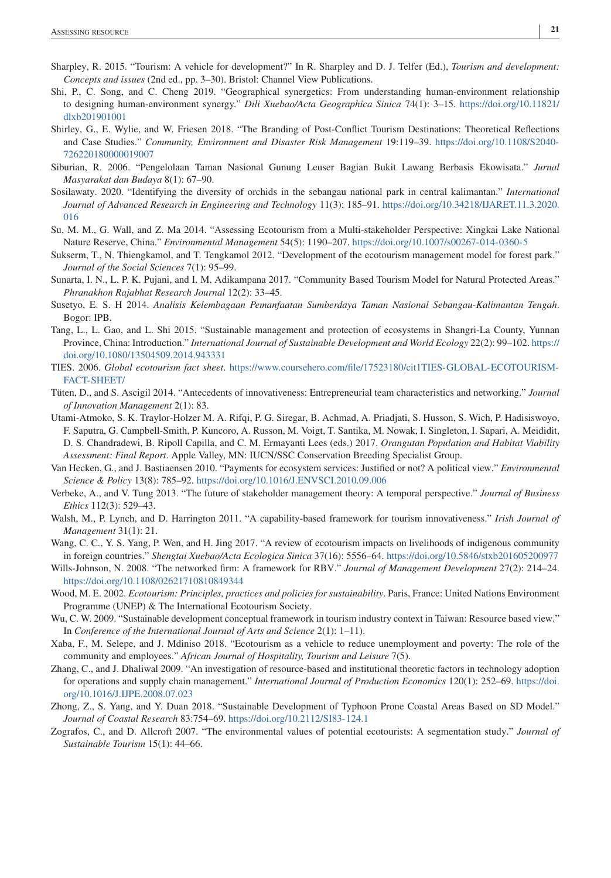- <span id="page-20-0"></span>Sharpley, R. 2015. "Tourism: A vehicle for development?" In R. Sharpley and D. J. Telfer (Ed.), *Tourism and development: Concepts and issues* (2nd ed., pp. 3–30). Bristol: Channel View Publications.
- Shi, P., C. Song, and C. Cheng 2019. "Geographical synergetics: From understanding human-environment relationship to designing human-environment synergy." *Dili Xuebao/Acta Geographica Sinica* 74(1): 3–15. [https://doi.org/10.11821/](https://doi.org/10.11821/dlxb201901001) [dlxb201901001](https://doi.org/10.11821/dlxb201901001)
- Shirley, G., E. Wylie, and W. Friesen 2018. "The Branding of Post-Conflict Tourism Destinations: Theoretical Reflections and Case Studies." *Community, Environment and Disaster Risk Management* 19:119–39. [https://doi.org/10.1108/S2040-](https://doi.org/10.1108/S2040-726220180000019007) [726220180000019007](https://doi.org/10.1108/S2040-726220180000019007)
- Siburian, R. 2006. "Pengelolaan Taman Nasional Gunung Leuser Bagian Bukit Lawang Berbasis Ekowisata." *Jurnal Masyarakat dan Budaya* 8(1): 67–90.
- Sosilawaty. 2020. "Identifying the diversity of orchids in the sebangau national park in central kalimantan." *International Journal of Advanced Research in Engineering and Technology* 11(3): 185–91. [https://doi.org/10.34218/IJARET.11.3.2020.](https://doi.org/10.34218/IJARET.11.3.2020.016) [016](https://doi.org/10.34218/IJARET.11.3.2020.016)
- Su, M. M., G. Wall, and Z. Ma 2014. "Assessing Ecotourism from a Multi-stakeholder Perspective: Xingkai Lake National Nature Reserve, China." *Environmental Management* 54(5): 1190–207. <https://doi.org/10.1007/s00267-014-0360-5>
- Sukserm, T., N. Thiengkamol, and T. Tengkamol 2012. "Development of the ecotourism management model for forest park." *Journal of the Social Sciences* 7(1): 95–99.
- Sunarta, I. N., L. P. K. Pujani, and I. M. Adikampana 2017. "Community Based Tourism Model for Natural Protected Areas." *Phranakhon Rajabhat Research Journal* 12(2): 33–45.
- Susetyo, E. S. H 2014. *Analisis Kelembagaan Pemanfaatan Sumberdaya Taman Nasional Sebangau-Kalimantan Tengah*. Bogor: IPB.
- Tang, L., L. Gao, and L. Shi 2015. "Sustainable management and protection of ecosystems in Shangri-La County, Yunnan Province, China: Introduction." *International Journal of Sustainable Development and World Ecology* 22(2): 99–102. [https://](https://doi.org/10.1080/13504509.2014.943331) [doi.org/10.1080/13504509.2014.943331](https://doi.org/10.1080/13504509.2014.943331)
- TIES. 2006. *Global ecotourism fact sheet*. [https://www.coursehero.com/file/17523180/cit1TIES-GLOBAL-ECOTOURISM-](https://www.coursehero.com/file/17523180/cit1TIES-GLOBAL-ECOTOURISM-FACT-SHEET/)[FACT-SHEET/](https://www.coursehero.com/file/17523180/cit1TIES-GLOBAL-ECOTOURISM-FACT-SHEET/)
- Tüten, D., and S. Ascigil 2014. "Antecedents of innovativeness: Entrepreneurial team characteristics and networking." *Journal of Innovation Management* 2(1): 83.
- Utami-Atmoko, S. K. Traylor-Holzer M. A. Rifqi, P. G. Siregar, B. Achmad, A. Priadjati, S. Husson, S. Wich, P. Hadisiswoyo, F. Saputra, G. Campbell-Smith, P. Kuncoro, A. Russon, M. Voigt, T. Santika, M. Nowak, I. Singleton, I. Sapari, A. Meididit, D. S. Chandradewi, B. Ripoll Capilla, and C. M. Ermayanti Lees (eds.) 2017. *Orangutan Population and Habitat Viability Assessment: Final Report*. Apple Valley, MN: IUCN/SSC Conservation Breeding Specialist Group.
- Van Hecken, G., and J. Bastiaensen 2010. "Payments for ecosystem services: Justified or not? A political view." *Environmental Science & Policy* 13(8): 785–92. <https://doi.org/10.1016/J.ENVSCI.2010.09.006>
- Verbeke, A., and V. Tung 2013. "The future of stakeholder management theory: A temporal perspective." *Journal of Business Ethics* 112(3): 529–43.
- Walsh, M., P. Lynch, and D. Harrington 2011. "A capability-based framework for tourism innovativeness." *Irish Journal of Management* 31(1): 21.
- Wang, C. C., Y. S. Yang, P. Wen, and H. Jing 2017. "A review of ecotourism impacts on livelihoods of indigenous community in foreign countries." *Shengtai Xuebao/Acta Ecologica Sinica* 37(16): 5556–64. <https://doi.org/10.5846/stxb201605200977>
- Wills-Johnson, N. 2008. "The networked firm: A framework for RBV." *Journal of Management Development* 27(2): 214–24. <https://doi.org/10.1108/02621710810849344>
- Wood, M. E. 2002. *Ecotourism: Principles, practices and policies for sustainability*. Paris, France: United Nations Environment Programme (UNEP) & The International Ecotourism Society.
- Wu, C. W. 2009. "Sustainable development conceptual framework in tourism industry context in Taiwan: Resource based view." In *Conference of the International Journal of Arts and Science* 2(1): 1–11).
- Xaba, F., M. Selepe, and J. Mdiniso 2018. "Ecotourism as a vehicle to reduce unemployment and poverty: The role of the community and employees." *African Journal of Hospitality, Tourism and Leisure* 7(5).
- Zhang, C., and J. Dhaliwal 2009. "An investigation of resource-based and institutional theoretic factors in technology adoption for operations and supply chain management." *International Journal of Production Economics* 120(1): 252–69. [https://doi.](https://doi.org/10.1016/J.IJPE.2008.07.023) [org/10.1016/J.IJPE.2008.07.023](https://doi.org/10.1016/J.IJPE.2008.07.023)
- Zhong, Z., S. Yang, and Y. Duan 2018. "Sustainable Development of Typhoon Prone Coastal Areas Based on SD Model." *Journal of Coastal Research* 83:754–69. <https://doi.org/10.2112/SI83-124.1>
- Zografos, C., and D. Allcroft 2007. "The environmental values of potential ecotourists: A segmentation study." *Journal of Sustainable Tourism* 15(1): 44–66.